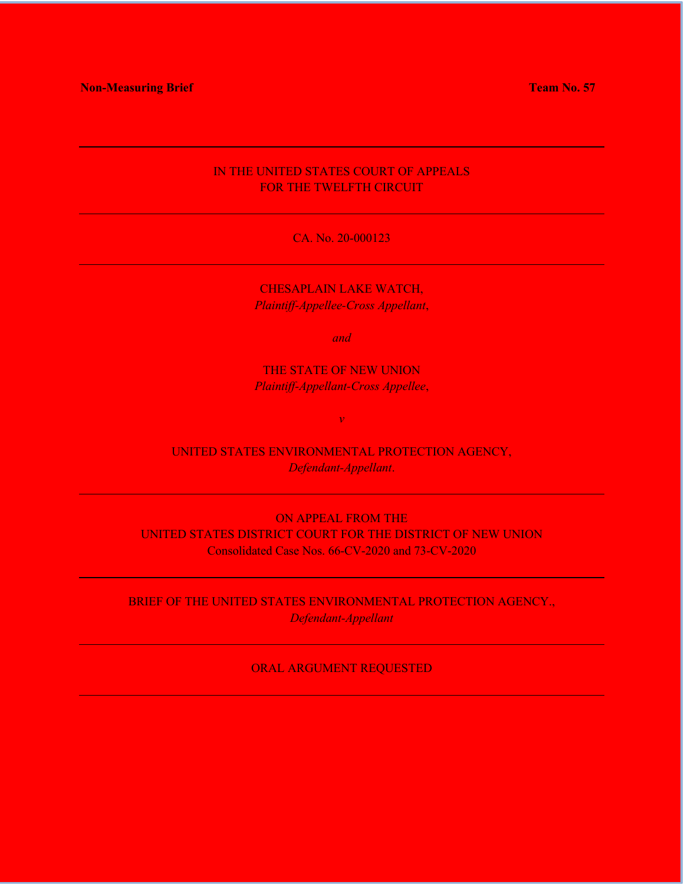**Non-Measuring Brief Team No. 57** 

## IN THE UNITED STATES COURT OF APPEALS FOR THE TWELFTH CIRCUIT

CA. No. 20-000123

CHESAPLAIN LAKE WATCH, *Plaintiff-Appellee-Cross Appellant*,

*and*

THE STATE OF NEW UNION *Plaintiff-Appellant-Cross Appellee*,

*v*

UNITED STATES ENVIRONMENTAL PROTECTION AGENCY, *Defendant-Appellant*.

ON APPEAL FROM THE UNITED STATES DISTRICT COURT FOR THE DISTRICT OF NEW UNION Consolidated Case Nos. 66-CV-2020 and 73-CV-2020

BRIEF OF THE UNITED STATES ENVIRONMENTAL PROTECTION AGENCY., *Defendant-Appellant*

ORAL ARGUMENT REQUESTED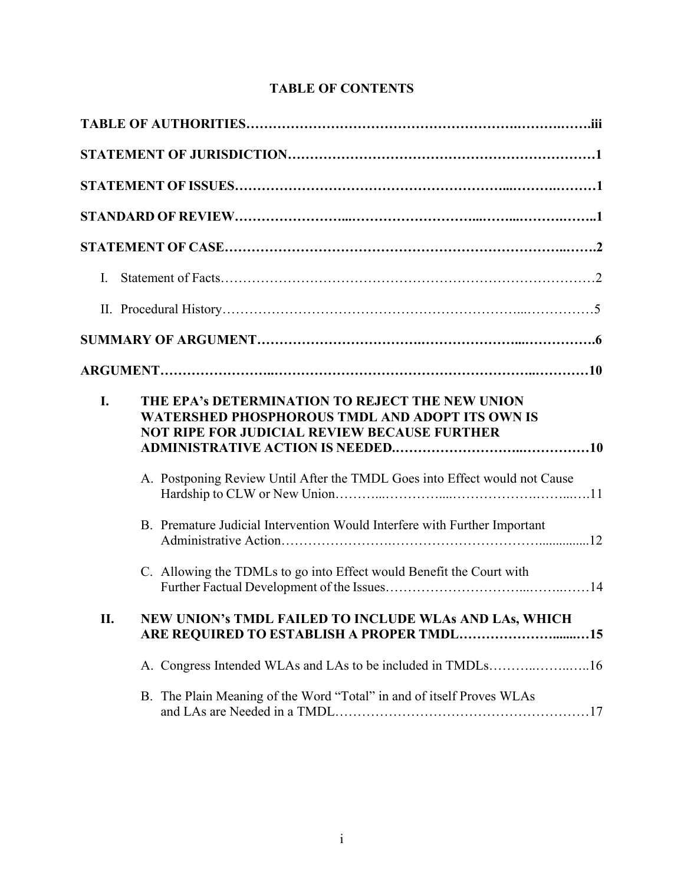# **TABLE OF CONTENTS**

| L. |                                                                                                                                                                  |
|----|------------------------------------------------------------------------------------------------------------------------------------------------------------------|
|    |                                                                                                                                                                  |
|    |                                                                                                                                                                  |
|    |                                                                                                                                                                  |
| I. | THE EPA's DETERMINATION TO REJECT THE NEW UNION<br><b>WATERSHED PHOSPHOROUS TMDL AND ADOPT ITS OWN IS</b><br><b>NOT RIPE FOR JUDICIAL REVIEW BECAUSE FURTHER</b> |
|    | A. Postponing Review Until After the TMDL Goes into Effect would not Cause                                                                                       |
|    | B. Premature Judicial Intervention Would Interfere with Further Important                                                                                        |
|    | C. Allowing the TDMLs to go into Effect would Benefit the Court with                                                                                             |
| П. | NEW UNION's TMDL FAILED TO INCLUDE WLAs AND LAs, WHICH<br>ARE REQUIRED TO ESTABLISH A PROPER TMDL15                                                              |
|    | A. Congress Intended WLAs and LAs to be included in TMDLs16                                                                                                      |
|    | B. The Plain Meaning of the Word "Total" in and of itself Proves WLAs                                                                                            |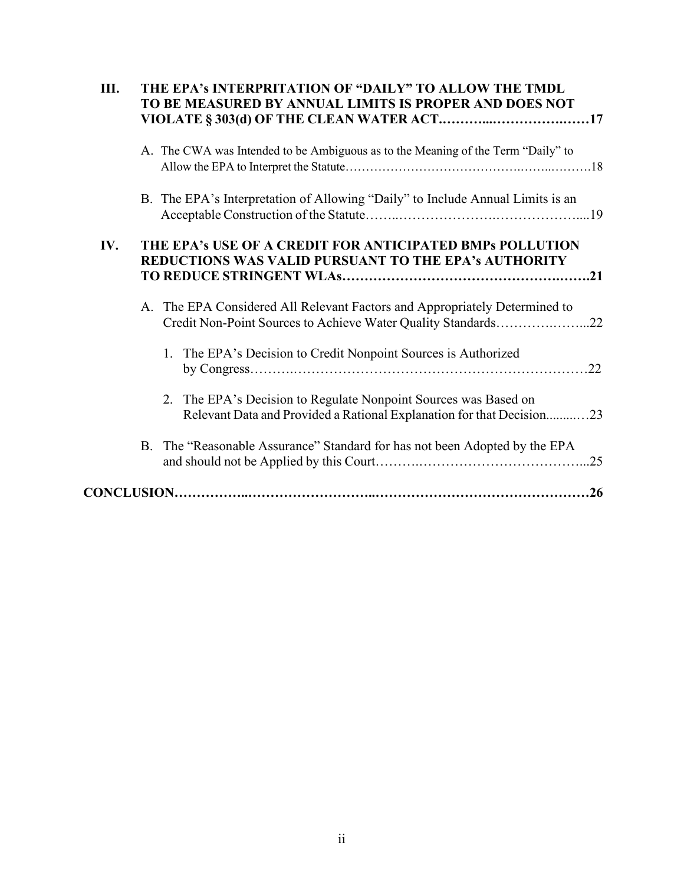| Ш.  | THE EPA's INTERPRITATION OF "DAILY" TO ALLOW THE TMDL<br>TO BE MEASURED BY ANNUAL LIMITS IS PROPER AND DOES NOT                             |
|-----|---------------------------------------------------------------------------------------------------------------------------------------------|
|     | A. The CWA was Intended to be Ambiguous as to the Meaning of the Term "Daily" to                                                            |
|     | B. The EPA's Interpretation of Allowing "Daily" to Include Annual Limits is an                                                              |
| IV. | THE EPA's USE OF A CREDIT FOR ANTICIPATED BMPs POLLUTION<br>REDUCTIONS WAS VALID PURSUANT TO THE EPA's AUTHORITY                            |
|     | A. The EPA Considered All Relevant Factors and Appropriately Determined to<br>Credit Non-Point Sources to Achieve Water Quality Standards22 |
|     | 1. The EPA's Decision to Credit Nonpoint Sources is Authorized                                                                              |
|     | 2. The EPA's Decision to Regulate Nonpoint Sources was Based on<br>Relevant Data and Provided a Rational Explanation for that Decision23    |
|     | The "Reasonable Assurance" Standard for has not been Adopted by the EPA<br><b>B.</b><br>.25                                                 |
|     |                                                                                                                                             |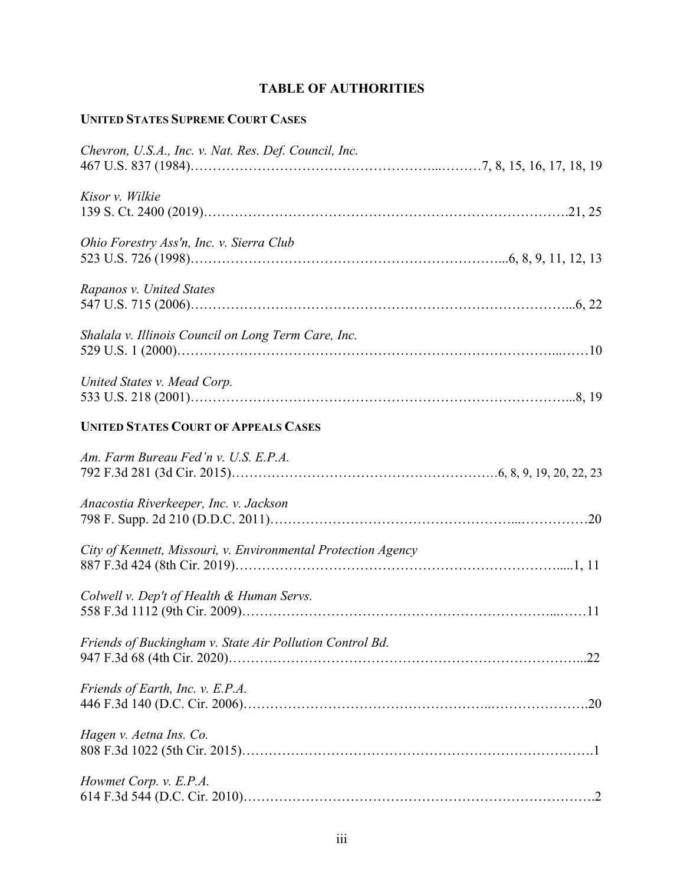# **TABLE OF AUTHORITIES**

# **UNITED STATES SUPREME COURT CASES**

| Chevron, U.S.A., Inc. v. Nat. Res. Def. Council, Inc.         |
|---------------------------------------------------------------|
| Kisor v. Wilkie                                               |
| Ohio Forestry Ass'n, Inc. v. Sierra Club                      |
| Rapanos v. United States                                      |
| Shalala v. Illinois Council on Long Term Care, Inc.           |
| United States v. Mead Corp.                                   |
| <b>UNITED STATES COURT OF APPEALS CASES</b>                   |
| Am. Farm Bureau Fed'n v. U.S. E.P.A.                          |
| Anacostia Riverkeeper, Inc. v. Jackson                        |
| City of Kennett, Missouri, v. Environmental Protection Agency |
| Colwell v. Dep't of Health & Human Servs.                     |
| Friends of Buckingham v. State Air Pollution Control Bd.      |
| Friends of Earth, Inc. v. E.P.A.                              |
| Hagen v. Aetna Ins. Co.                                       |
| Howmet Corp. v. E.P.A.                                        |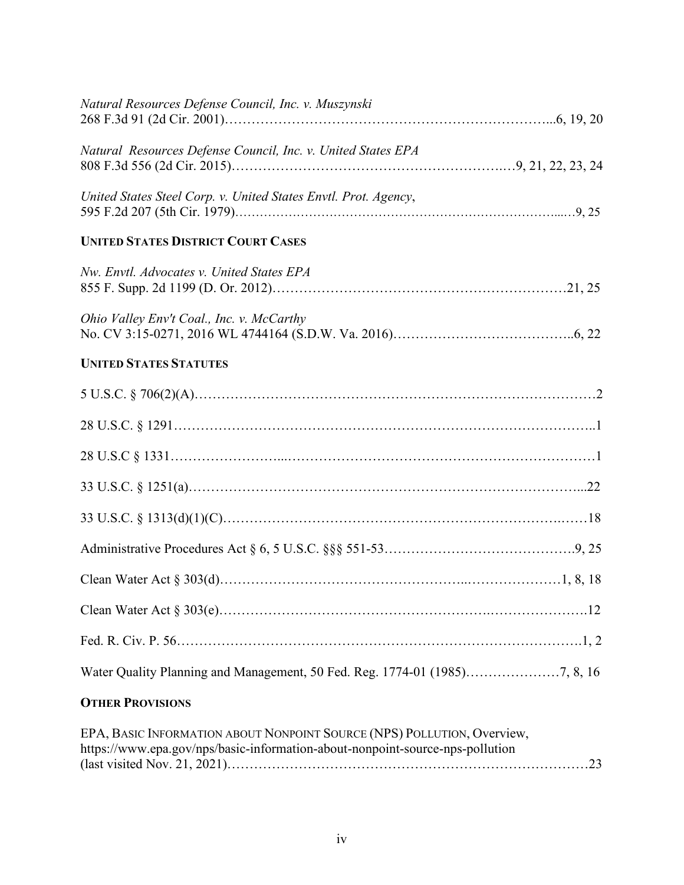| Natural Resources Defense Council, Inc. v. Muszynski            |
|-----------------------------------------------------------------|
| Natural Resources Defense Council, Inc. v. United States EPA    |
| United States Steel Corp. v. United States Envtl. Prot. Agency, |
| <b>UNITED STATES DISTRICT COURT CASES</b>                       |
| Nw. Envtl. Advocates v. United States EPA                       |
| Ohio Valley Env't Coal., Inc. v. McCarthy                       |
| <b>UNITED STATES STATUTES</b>                                   |
|                                                                 |
|                                                                 |
|                                                                 |
|                                                                 |
|                                                                 |
|                                                                 |
|                                                                 |
|                                                                 |
|                                                                 |
|                                                                 |
| <b>OTHER PROVISIONS</b>                                         |

| EPA, BASIC INFORMATION ABOUT NONPOINT SOURCE (NPS) POLLUTION, Overview,       |  |
|-------------------------------------------------------------------------------|--|
| https://www.epa.gov/nps/basic-information-about-nonpoint-source-nps-pollution |  |
|                                                                               |  |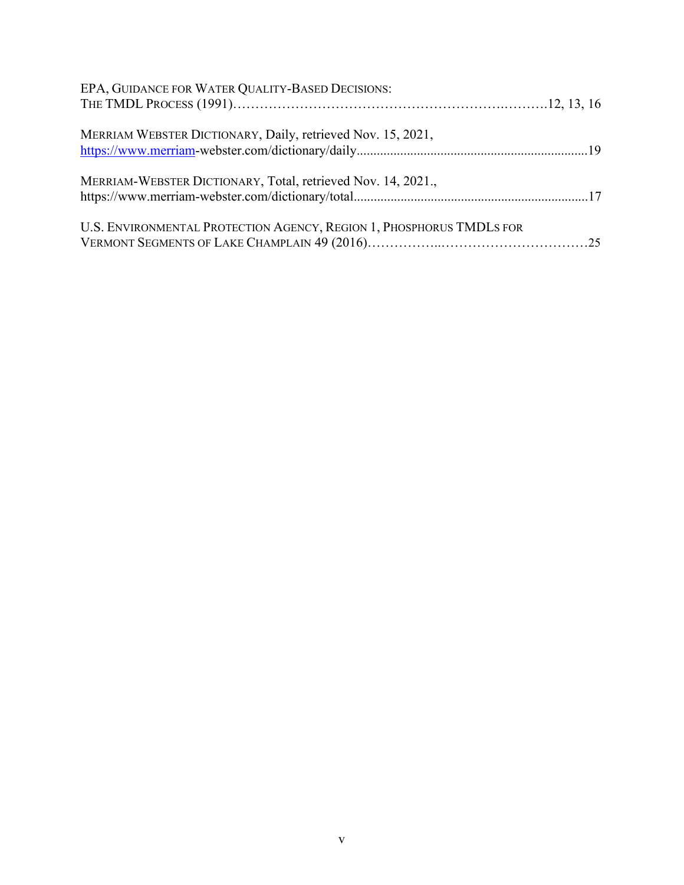| EPA, GUIDANCE FOR WATER QUALITY-BASED DECISIONS:                     |  |
|----------------------------------------------------------------------|--|
| MERRIAM WEBSTER DICTIONARY, Daily, retrieved Nov. 15, 2021,          |  |
| MERRIAM-WEBSTER DICTIONARY, Total, retrieved Nov. 14, 2021.,         |  |
| U.S. ENVIRONMENTAL PROTECTION AGENCY, REGION 1, PHOSPHORUS TMDLS FOR |  |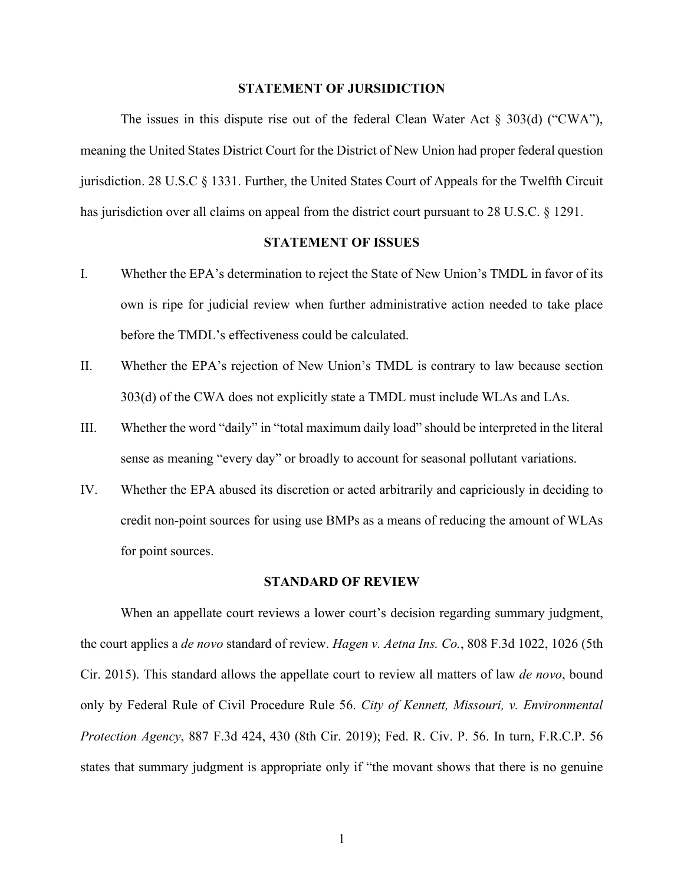#### **STATEMENT OF JURSIDICTION**

The issues in this dispute rise out of the federal Clean Water Act  $\S 303(d)$  ("CWA"), meaning the United States District Court for the District of New Union had proper federal question jurisdiction. 28 U.S.C § 1331. Further, the United States Court of Appeals for the Twelfth Circuit has jurisdiction over all claims on appeal from the district court pursuant to 28 U.S.C. § 1291.

#### **STATEMENT OF ISSUES**

- I. Whether the EPA's determination to reject the State of New Union's TMDL in favor of its own is ripe for judicial review when further administrative action needed to take place before the TMDL's effectiveness could be calculated.
- II. Whether the EPA's rejection of New Union's TMDL is contrary to law because section 303(d) of the CWA does not explicitly state a TMDL must include WLAs and LAs.
- III. Whether the word "daily" in "total maximum daily load" should be interpreted in the literal sense as meaning "every day" or broadly to account for seasonal pollutant variations.
- IV. Whether the EPA abused its discretion or acted arbitrarily and capriciously in deciding to credit non-point sources for using use BMPs as a means of reducing the amount of WLAs for point sources.

#### **STANDARD OF REVIEW**

When an appellate court reviews a lower court's decision regarding summary judgment, the court applies a *de novo* standard of review. *Hagen v. Aetna Ins. Co.*, 808 F.3d 1022, 1026 (5th Cir. 2015). This standard allows the appellate court to review all matters of law *de novo*, bound only by Federal Rule of Civil Procedure Rule 56. *City of Kennett, Missouri, v. Environmental Protection Agency*, 887 F.3d 424, 430 (8th Cir. 2019); Fed. R. Civ. P. 56. In turn, F.R.C.P. 56 states that summary judgment is appropriate only if "the movant shows that there is no genuine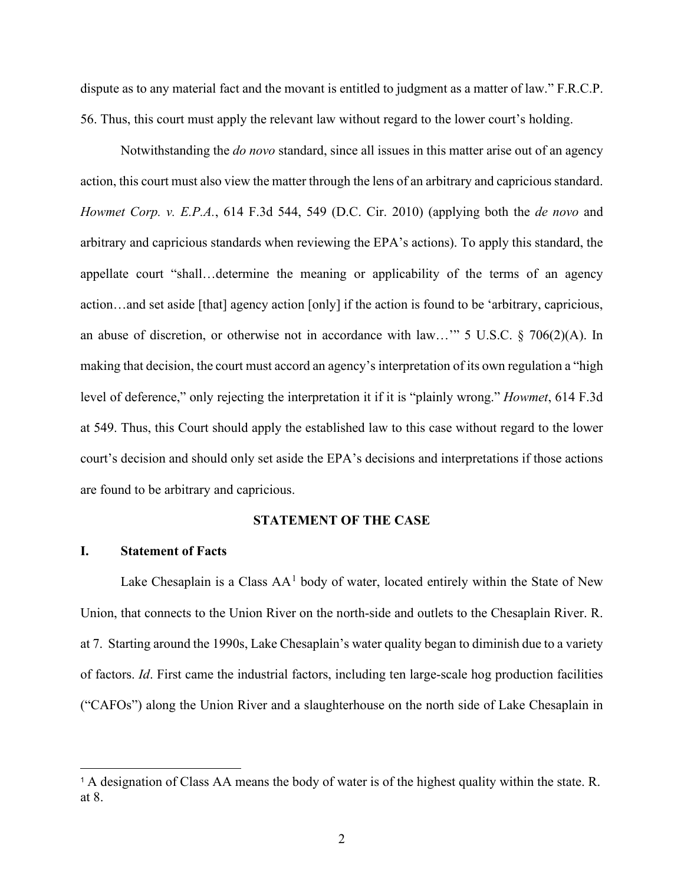dispute as to any material fact and the movant is entitled to judgment as a matter of law." F.R.C.P. 56. Thus, this court must apply the relevant law without regard to the lower court's holding.

Notwithstanding the *do novo* standard, since all issues in this matter arise out of an agency action, this court must also view the matter through the lens of an arbitrary and capricious standard. *Howmet Corp. v. E.P.A.*, 614 F.3d 544, 549 (D.C. Cir. 2010) (applying both the *de novo* and arbitrary and capricious standards when reviewing the EPA's actions). To apply this standard, the appellate court "shall…determine the meaning or applicability of the terms of an agency action…and set aside [that] agency action [only] if the action is found to be 'arbitrary, capricious, an abuse of discretion, or otherwise not in accordance with law…'" 5 U.S.C. § 706(2)(A). In making that decision, the court must accord an agency's interpretation of its own regulation a "high level of deference," only rejecting the interpretation it if it is "plainly wrong." *Howmet*, 614 F.3d at 549. Thus, this Court should apply the established law to this case without regard to the lower court's decision and should only set aside the EPA's decisions and interpretations if those actions are found to be arbitrary and capricious.

#### **STATEMENT OF THE CASE**

#### **I. Statement of Facts**

Lake Chesaplain is a Class  $AA<sup>1</sup>$  $AA<sup>1</sup>$  $AA<sup>1</sup>$  body of water, located entirely within the State of New Union, that connects to the Union River on the north-side and outlets to the Chesaplain River. R. at 7. Starting around the 1990s, Lake Chesaplain's water quality began to diminish due to a variety of factors. *Id*. First came the industrial factors, including ten large-scale hog production facilities ("CAFOs") along the Union River and a slaughterhouse on the north side of Lake Chesaplain in

<span id="page-7-0"></span><sup>&</sup>lt;sup>1</sup> A designation of Class AA means the body of water is of the highest quality within the state. R. at 8.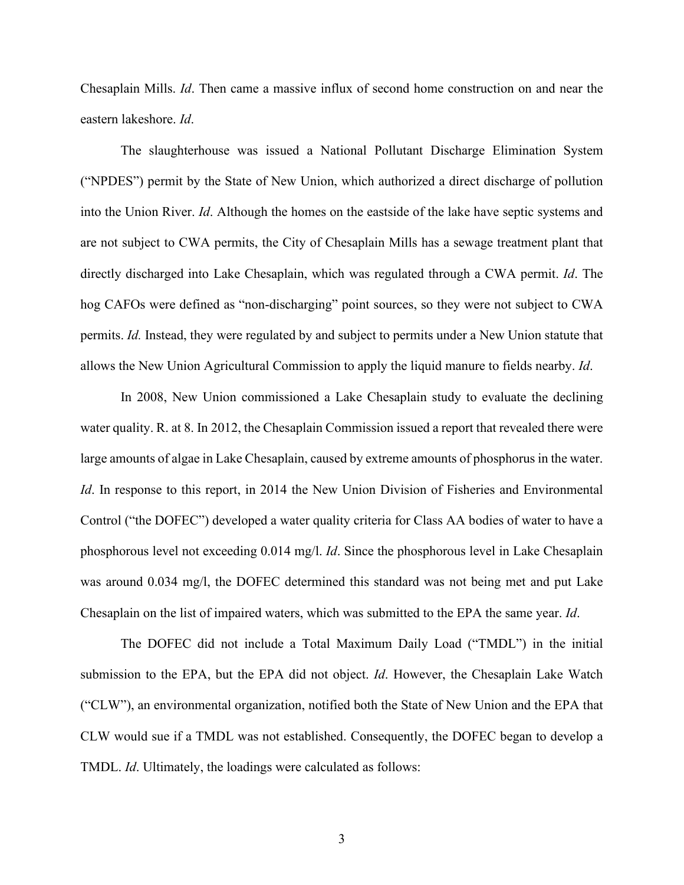Chesaplain Mills. *Id*. Then came a massive influx of second home construction on and near the eastern lakeshore. *Id*.

 The slaughterhouse was issued a National Pollutant Discharge Elimination System ("NPDES") permit by the State of New Union, which authorized a direct discharge of pollution into the Union River. *Id*. Although the homes on the eastside of the lake have septic systems and are not subject to CWA permits, the City of Chesaplain Mills has a sewage treatment plant that directly discharged into Lake Chesaplain, which was regulated through a CWA permit. *Id*. The hog CAFOs were defined as "non-discharging" point sources, so they were not subject to CWA permits. *Id.* Instead, they were regulated by and subject to permits under a New Union statute that allows the New Union Agricultural Commission to apply the liquid manure to fields nearby. *Id*.

 In 2008, New Union commissioned a Lake Chesaplain study to evaluate the declining water quality. R. at 8. In 2012, the Chesaplain Commission issued a report that revealed there were large amounts of algae in Lake Chesaplain, caused by extreme amounts of phosphorus in the water. *Id*. In response to this report, in 2014 the New Union Division of Fisheries and Environmental Control ("the DOFEC") developed a water quality criteria for Class AA bodies of water to have a phosphorous level not exceeding 0.014 mg/l. *Id*. Since the phosphorous level in Lake Chesaplain was around 0.034 mg/l, the DOFEC determined this standard was not being met and put Lake Chesaplain on the list of impaired waters, which was submitted to the EPA the same year. *Id*.

 The DOFEC did not include a Total Maximum Daily Load ("TMDL") in the initial submission to the EPA, but the EPA did not object. *Id*. However, the Chesaplain Lake Watch ("CLW"), an environmental organization, notified both the State of New Union and the EPA that CLW would sue if a TMDL was not established. Consequently, the DOFEC began to develop a TMDL. *Id*. Ultimately, the loadings were calculated as follows: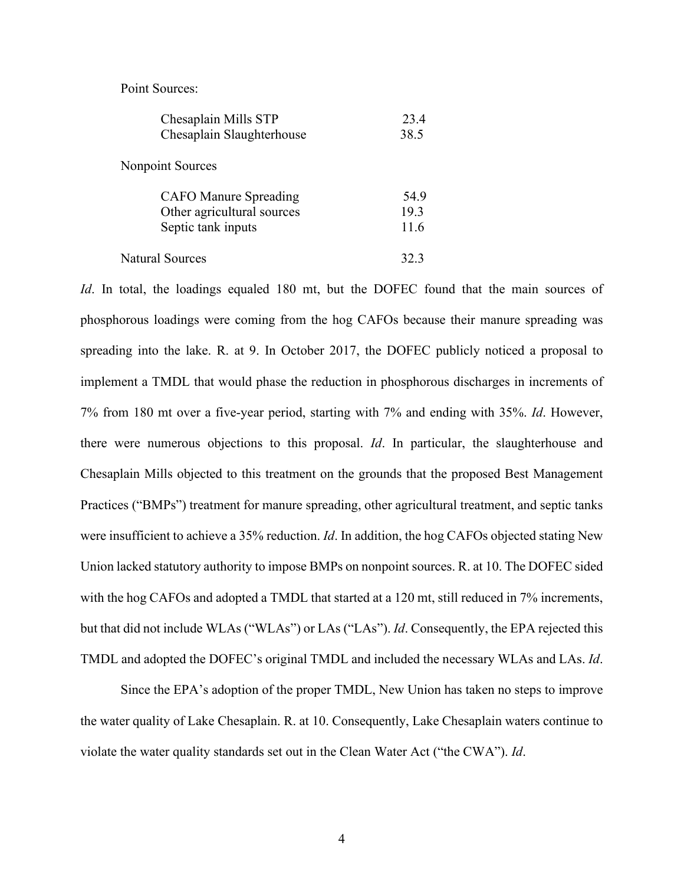Point Sources:

| Chesaplain Mills STP         | 23.4 |
|------------------------------|------|
| Chesaplain Slaughterhouse    | 38.5 |
| Nonpoint Sources             |      |
| <b>CAFO</b> Manure Spreading | 54.9 |
| Other agricultural sources   | 19.3 |
| Septic tank inputs           | 11.6 |
| <b>Natural Sources</b>       | 32.3 |

*Id*. In total, the loadings equaled 180 mt, but the DOFEC found that the main sources of phosphorous loadings were coming from the hog CAFOs because their manure spreading was spreading into the lake. R. at 9. In October 2017, the DOFEC publicly noticed a proposal to implement a TMDL that would phase the reduction in phosphorous discharges in increments of 7% from 180 mt over a five-year period, starting with 7% and ending with 35%. *Id*. However, there were numerous objections to this proposal. *Id*. In particular, the slaughterhouse and Chesaplain Mills objected to this treatment on the grounds that the proposed Best Management Practices ("BMPs") treatment for manure spreading, other agricultural treatment, and septic tanks were insufficient to achieve a 35% reduction. *Id*. In addition, the hog CAFOs objected stating New Union lacked statutory authority to impose BMPs on nonpoint sources. R. at 10. The DOFEC sided with the hog CAFOs and adopted a TMDL that started at a 120 mt, still reduced in 7% increments, but that did not include WLAs ("WLAs") or LAs ("LAs"). *Id*. Consequently, the EPA rejected this TMDL and adopted the DOFEC's original TMDL and included the necessary WLAs and LAs. *Id*.

 Since the EPA's adoption of the proper TMDL, New Union has taken no steps to improve the water quality of Lake Chesaplain. R. at 10. Consequently, Lake Chesaplain waters continue to violate the water quality standards set out in the Clean Water Act ("the CWA"). *Id*.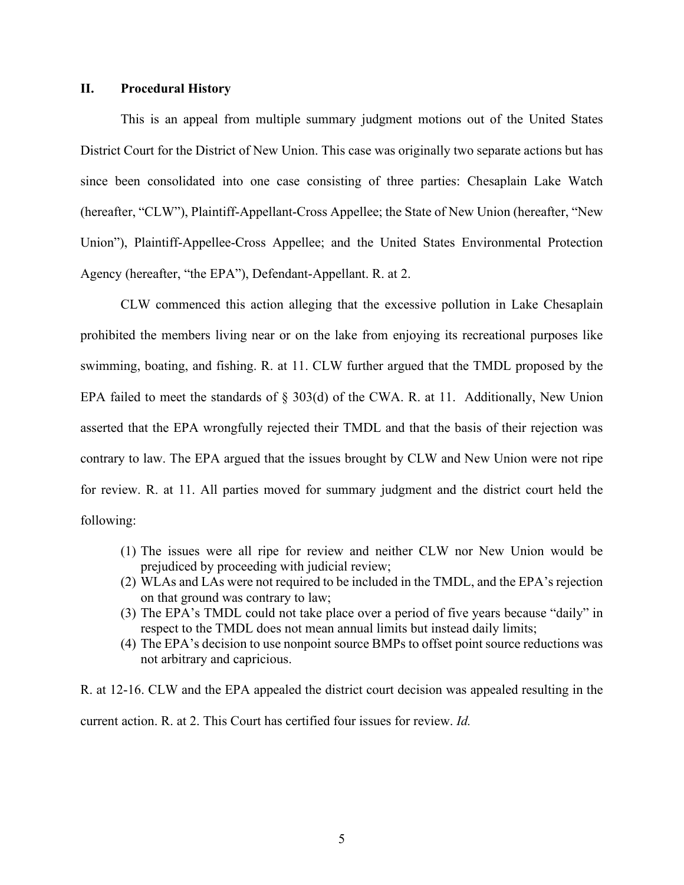## **II. Procedural History**

This is an appeal from multiple summary judgment motions out of the United States District Court for the District of New Union. This case was originally two separate actions but has since been consolidated into one case consisting of three parties: Chesaplain Lake Watch (hereafter, "CLW"), Plaintiff-Appellant-Cross Appellee; the State of New Union (hereafter, "New Union"), Plaintiff-Appellee-Cross Appellee; and the United States Environmental Protection Agency (hereafter, "the EPA"), Defendant-Appellant. R. at 2.

CLW commenced this action alleging that the excessive pollution in Lake Chesaplain prohibited the members living near or on the lake from enjoying its recreational purposes like swimming, boating, and fishing. R. at 11. CLW further argued that the TMDL proposed by the EPA failed to meet the standards of § 303(d) of the CWA. R. at 11. Additionally, New Union asserted that the EPA wrongfully rejected their TMDL and that the basis of their rejection was contrary to law. The EPA argued that the issues brought by CLW and New Union were not ripe for review. R. at 11. All parties moved for summary judgment and the district court held the following:

- (1) The issues were all ripe for review and neither CLW nor New Union would be prejudiced by proceeding with judicial review;
- (2) WLAs and LAs were not required to be included in the TMDL, and the EPA's rejection on that ground was contrary to law;
- (3) The EPA's TMDL could not take place over a period of five years because "daily" in respect to the TMDL does not mean annual limits but instead daily limits;
- (4) The EPA's decision to use nonpoint source BMPs to offset point source reductions was not arbitrary and capricious.

R. at 12-16. CLW and the EPA appealed the district court decision was appealed resulting in the current action. R. at 2. This Court has certified four issues for review. *Id.*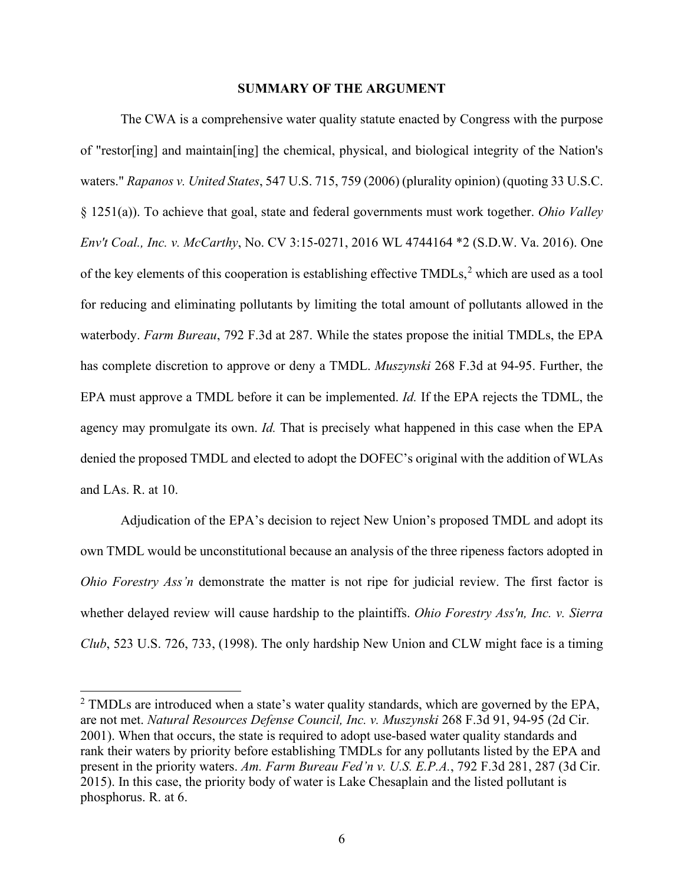#### **SUMMARY OF THE ARGUMENT**

The CWA is a comprehensive water quality statute enacted by Congress with the purpose of "restor[ing] and maintain[ing] the chemical, physical, and biological integrity of the Nation's waters." *Rapanos v. United States*, 547 U.S. 715, 759 (2006) (plurality opinion) (quoting 33 U.S.C. § 1251(a)). To achieve that goal, state and federal governments must work together. *Ohio Valley Env't Coal., Inc. v. McCarthy*, No. CV 3:15-0271, 2016 WL 4744164 \*2 (S.D.W. Va. 2016). One of the key elements of this cooperation is establishing effective TMDLs,<sup>[2](#page-11-0)</sup> which are used as a tool for reducing and eliminating pollutants by limiting the total amount of pollutants allowed in the waterbody. *Farm Bureau*, 792 F.3d at 287. While the states propose the initial TMDLs, the EPA has complete discretion to approve or deny a TMDL. *Muszynski* 268 F.3d at 94-95. Further, the EPA must approve a TMDL before it can be implemented. *Id.* If the EPA rejects the TDML, the agency may promulgate its own. *Id.* That is precisely what happened in this case when the EPA denied the proposed TMDL and elected to adopt the DOFEC's original with the addition of WLAs and LAs. R. at 10.

Adjudication of the EPA's decision to reject New Union's proposed TMDL and adopt its own TMDL would be unconstitutional because an analysis of the three ripeness factors adopted in *Ohio Forestry Ass'n* demonstrate the matter is not ripe for judicial review. The first factor is whether delayed review will cause hardship to the plaintiffs. *Ohio Forestry Ass'n, Inc. v. Sierra Club*, 523 U.S. 726, 733, (1998). The only hardship New Union and CLW might face is a timing

<span id="page-11-0"></span> $2$  TMDLs are introduced when a state's water quality standards, which are governed by the EPA, are not met. *Natural Resources Defense Council, Inc. v. Muszynski* 268 F.3d 91, 94-95 (2d Cir. 2001). When that occurs, the state is required to adopt use-based water quality standards and rank their waters by priority before establishing TMDLs for any pollutants listed by the EPA and present in the priority waters. *Am. Farm Bureau Fed'n v. U.S. E.P.A.*, 792 F.3d 281, 287 (3d Cir. 2015). In this case, the priority body of water is Lake Chesaplain and the listed pollutant is phosphorus. R. at 6.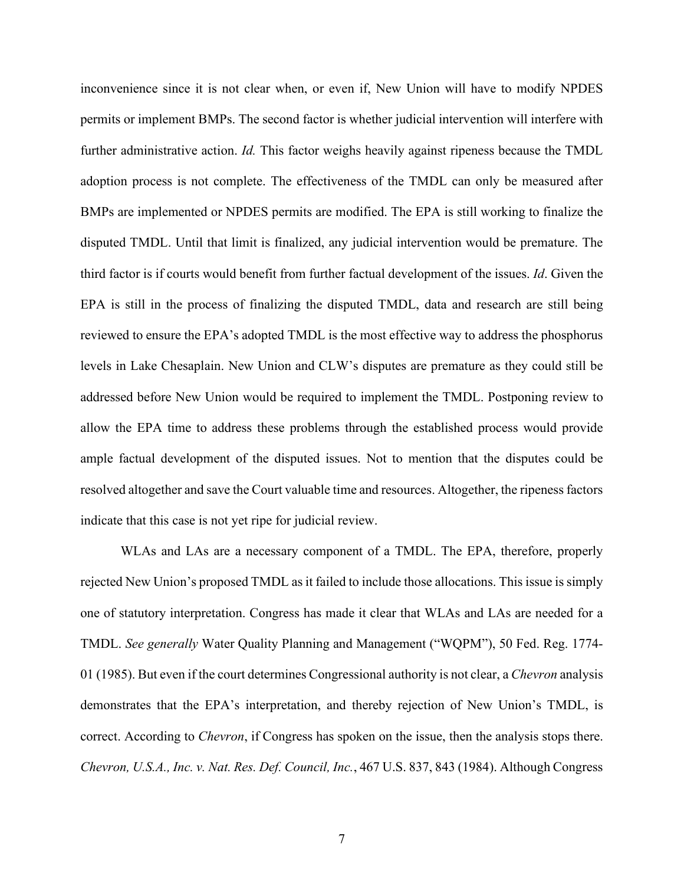inconvenience since it is not clear when, or even if, New Union will have to modify NPDES permits or implement BMPs. The second factor is whether judicial intervention will interfere with further administrative action. *Id.* This factor weighs heavily against ripeness because the TMDL adoption process is not complete. The effectiveness of the TMDL can only be measured after BMPs are implemented or NPDES permits are modified. The EPA is still working to finalize the disputed TMDL. Until that limit is finalized, any judicial intervention would be premature. The third factor is if courts would benefit from further factual development of the issues. *Id*. Given the EPA is still in the process of finalizing the disputed TMDL, data and research are still being reviewed to ensure the EPA's adopted TMDL is the most effective way to address the phosphorus levels in Lake Chesaplain. New Union and CLW's disputes are premature as they could still be addressed before New Union would be required to implement the TMDL. Postponing review to allow the EPA time to address these problems through the established process would provide ample factual development of the disputed issues. Not to mention that the disputes could be resolved altogether and save the Court valuable time and resources. Altogether, the ripeness factors indicate that this case is not yet ripe for judicial review.

WLAs and LAs are a necessary component of a TMDL. The EPA, therefore, properly rejected New Union's proposed TMDL as it failed to include those allocations. This issue is simply one of statutory interpretation. Congress has made it clear that WLAs and LAs are needed for a TMDL. *See generally* Water Quality Planning and Management ("WQPM"), 50 Fed. Reg. 1774- 01 (1985). But even if the court determines Congressional authority is not clear, a *Chevron* analysis demonstrates that the EPA's interpretation, and thereby rejection of New Union's TMDL, is correct. According to *Chevron*, if Congress has spoken on the issue, then the analysis stops there. *Chevron, U.S.A., Inc. v. Nat. Res. Def. Council, Inc.*, 467 U.S. 837, 843 (1984). Although Congress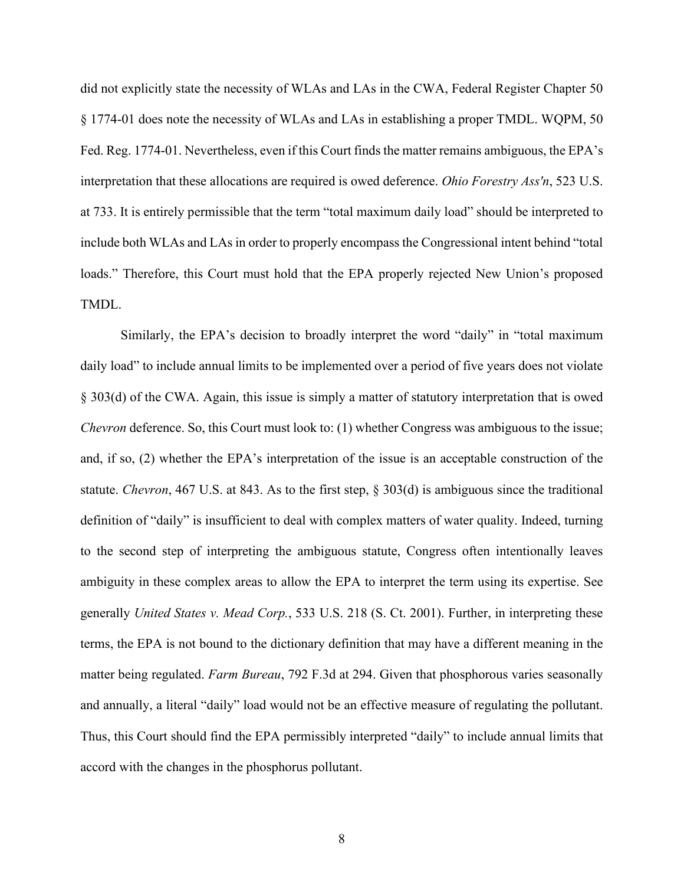did not explicitly state the necessity of WLAs and LAs in the CWA, Federal Register Chapter 50 § 1774-01 does note the necessity of WLAs and LAs in establishing a proper TMDL. WQPM, 50 Fed. Reg. 1774-01. Nevertheless, even if this Court finds the matter remains ambiguous, the EPA's interpretation that these allocations are required is owed deference. *Ohio Forestry Ass'n*, 523 U.S. at 733. It is entirely permissible that the term "total maximum daily load" should be interpreted to include both WLAs and LAs in order to properly encompass the Congressional intent behind "total loads." Therefore, this Court must hold that the EPA properly rejected New Union's proposed TMDL.

Similarly, the EPA's decision to broadly interpret the word "daily" in "total maximum daily load" to include annual limits to be implemented over a period of five years does not violate § 303(d) of the CWA. Again, this issue is simply a matter of statutory interpretation that is owed *Chevron* deference. So, this Court must look to: (1) whether Congress was ambiguous to the issue; and, if so, (2) whether the EPA's interpretation of the issue is an acceptable construction of the statute. *Chevron*, 467 U.S. at 843. As to the first step, § 303(d) is ambiguous since the traditional definition of "daily" is insufficient to deal with complex matters of water quality. Indeed, turning to the second step of interpreting the ambiguous statute, Congress often intentionally leaves ambiguity in these complex areas to allow the EPA to interpret the term using its expertise. See generally *United States v. Mead Corp.*, 533 U.S. 218 (S. Ct. 2001). Further, in interpreting these terms, the EPA is not bound to the dictionary definition that may have a different meaning in the matter being regulated. *Farm Bureau*, 792 F.3d at 294. Given that phosphorous varies seasonally and annually, a literal "daily" load would not be an effective measure of regulating the pollutant. Thus, this Court should find the EPA permissibly interpreted "daily" to include annual limits that accord with the changes in the phosphorus pollutant.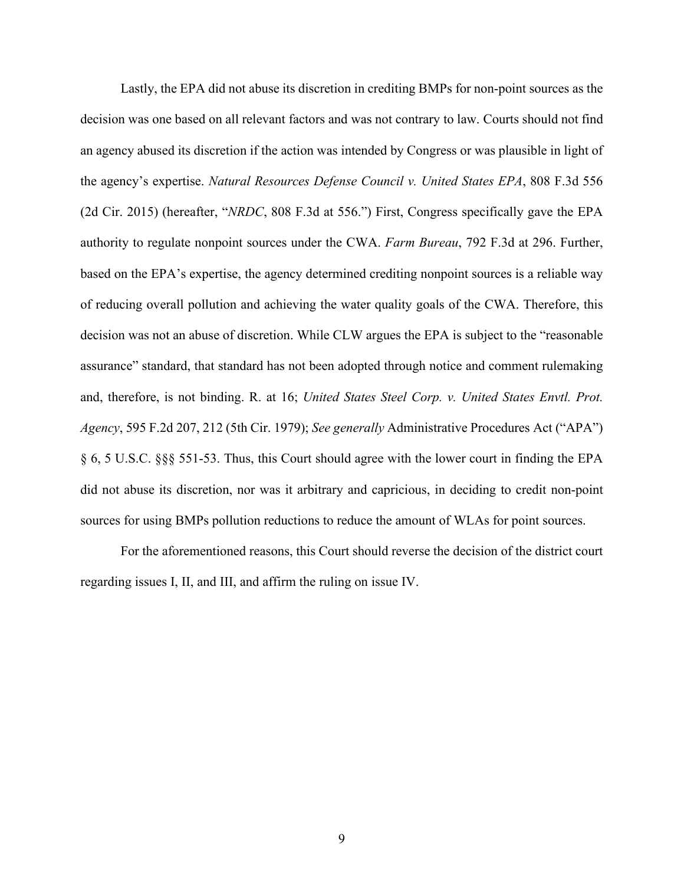Lastly, the EPA did not abuse its discretion in crediting BMPs for non-point sources as the decision was one based on all relevant factors and was not contrary to law. Courts should not find an agency abused its discretion if the action was intended by Congress or was plausible in light of the agency's expertise. *Natural Resources Defense Council v. United States EPA*, 808 F.3d 556 (2d Cir. 2015) (hereafter, "*NRDC*, 808 F.3d at 556.") First, Congress specifically gave the EPA authority to regulate nonpoint sources under the CWA. *Farm Bureau*, 792 F.3d at 296. Further, based on the EPA's expertise, the agency determined crediting nonpoint sources is a reliable way of reducing overall pollution and achieving the water quality goals of the CWA. Therefore, this decision was not an abuse of discretion. While CLW argues the EPA is subject to the "reasonable assurance" standard, that standard has not been adopted through notice and comment rulemaking and, therefore, is not binding. R. at 16; *United States Steel Corp. v. United States Envtl. Prot. Agency*, 595 F.2d 207, 212 (5th Cir. 1979); *See generally* Administrative Procedures Act ("APA") § 6, 5 U.S.C. §§§ 551-53. Thus, this Court should agree with the lower court in finding the EPA did not abuse its discretion, nor was it arbitrary and capricious, in deciding to credit non-point sources for using BMPs pollution reductions to reduce the amount of WLAs for point sources.

For the aforementioned reasons, this Court should reverse the decision of the district court regarding issues I, II, and III, and affirm the ruling on issue IV.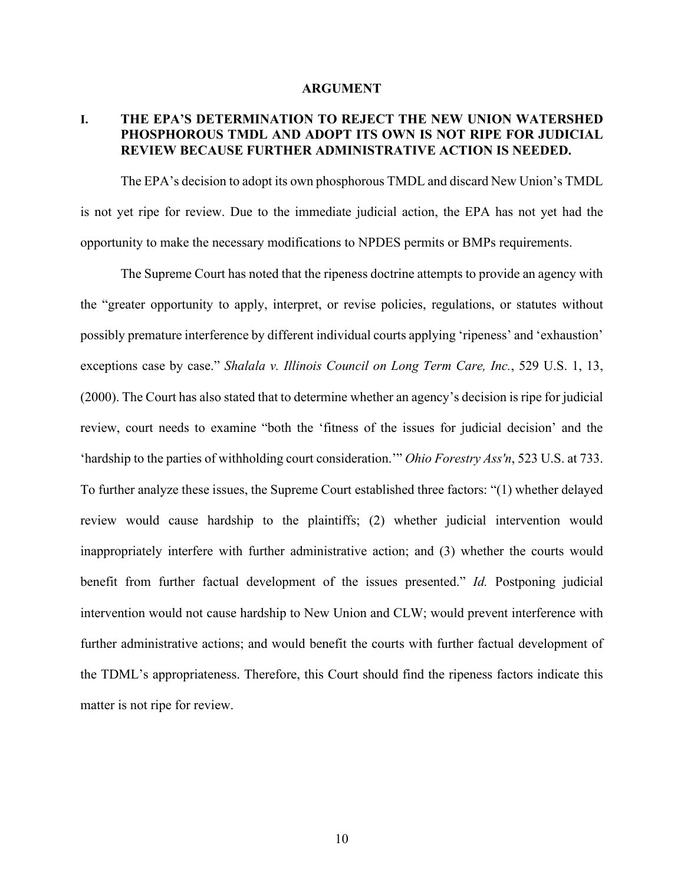#### **ARGUMENT**

# **I. THE EPA'S DETERMINATION TO REJECT THE NEW UNION WATERSHED PHOSPHOROUS TMDL AND ADOPT ITS OWN IS NOT RIPE FOR JUDICIAL REVIEW BECAUSE FURTHER ADMINISTRATIVE ACTION IS NEEDED.**

The EPA's decision to adopt its own phosphorous TMDL and discard New Union's TMDL is not yet ripe for review. Due to the immediate judicial action, the EPA has not yet had the opportunity to make the necessary modifications to NPDES permits or BMPs requirements.

The Supreme Court has noted that the ripeness doctrine attempts to provide an agency with the "greater opportunity to apply, interpret, or revise policies, regulations, or statutes without possibly premature interference by different individual courts applying 'ripeness' and 'exhaustion' exceptions case by case." *Shalala v. Illinois Council on Long Term Care, Inc.*, 529 U.S. 1, 13, (2000). The Court has also stated that to determine whether an agency's decision is ripe for judicial review, court needs to examine "both the 'fitness of the issues for judicial decision' and the 'hardship to the parties of withholding court consideration.'" *Ohio Forestry Ass'n*, 523 U.S. at 733. To further analyze these issues, the Supreme Court established three factors: "(1) whether delayed review would cause hardship to the plaintiffs; (2) whether judicial intervention would inappropriately interfere with further administrative action; and (3) whether the courts would benefit from further factual development of the issues presented." *Id.* Postponing judicial intervention would not cause hardship to New Union and CLW; would prevent interference with further administrative actions; and would benefit the courts with further factual development of the TDML's appropriateness. Therefore, this Court should find the ripeness factors indicate this matter is not ripe for review.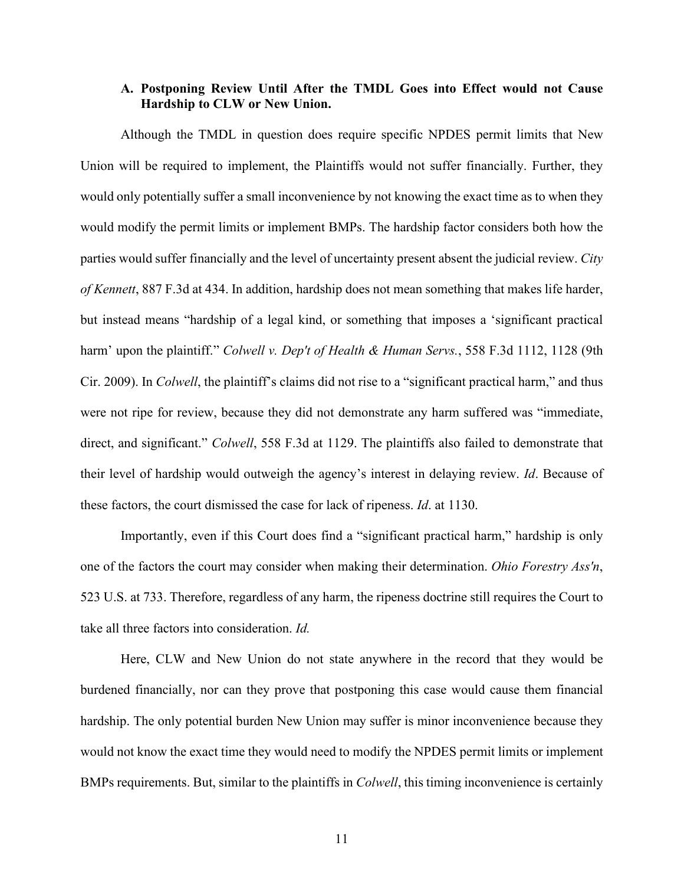## **A. Postponing Review Until After the TMDL Goes into Effect would not Cause Hardship to CLW or New Union.**

Although the TMDL in question does require specific NPDES permit limits that New Union will be required to implement, the Plaintiffs would not suffer financially. Further, they would only potentially suffer a small inconvenience by not knowing the exact time as to when they would modify the permit limits or implement BMPs. The hardship factor considers both how the parties would suffer financially and the level of uncertainty present absent the judicial review. *City of Kennett*, 887 F.3d at 434. In addition, hardship does not mean something that makes life harder, but instead means "hardship of a legal kind, or something that imposes a 'significant practical harm' upon the plaintiff." *Colwell v. Dep't of Health & Human Servs.*, 558 F.3d 1112, 1128 (9th Cir. 2009). In *Colwell*, the plaintiff's claims did not rise to a "significant practical harm," and thus were not ripe for review, because they did not demonstrate any harm suffered was "immediate, direct, and significant." *Colwell*, 558 F.3d at 1129. The plaintiffs also failed to demonstrate that their level of hardship would outweigh the agency's interest in delaying review. *Id*. Because of these factors, the court dismissed the case for lack of ripeness. *Id*. at 1130.

Importantly, even if this Court does find a "significant practical harm," hardship is only one of the factors the court may consider when making their determination. *Ohio Forestry Ass'n*, 523 U.S. at 733. Therefore, regardless of any harm, the ripeness doctrine still requires the Court to take all three factors into consideration. *Id.*

Here, CLW and New Union do not state anywhere in the record that they would be burdened financially, nor can they prove that postponing this case would cause them financial hardship. The only potential burden New Union may suffer is minor inconvenience because they would not know the exact time they would need to modify the NPDES permit limits or implement BMPs requirements. But, similar to the plaintiffs in *Colwell*, this timing inconvenience is certainly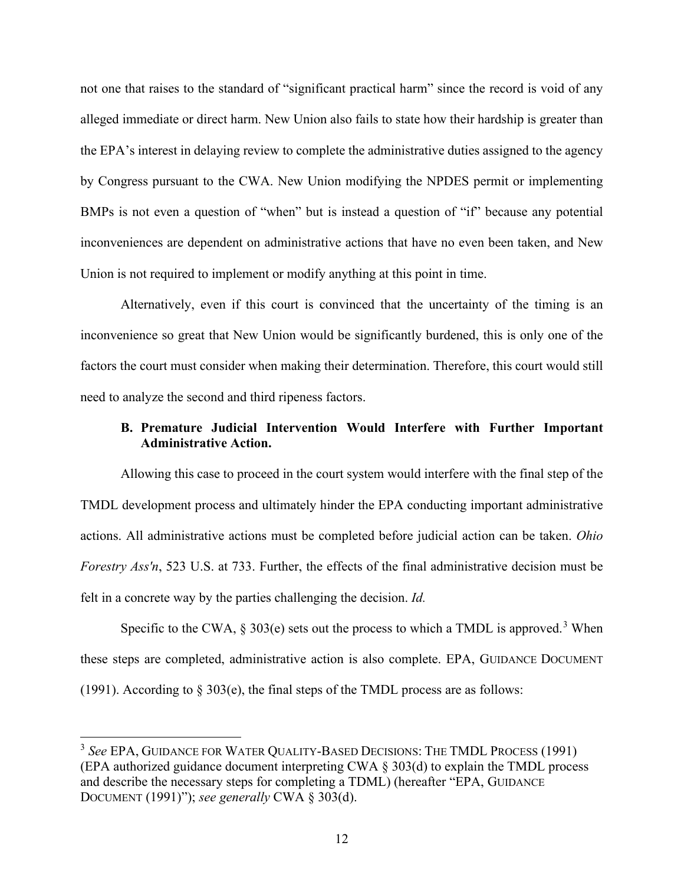not one that raises to the standard of "significant practical harm" since the record is void of any alleged immediate or direct harm. New Union also fails to state how their hardship is greater than the EPA's interest in delaying review to complete the administrative duties assigned to the agency by Congress pursuant to the CWA. New Union modifying the NPDES permit or implementing BMPs is not even a question of "when" but is instead a question of "if" because any potential inconveniences are dependent on administrative actions that have no even been taken, and New Union is not required to implement or modify anything at this point in time.

Alternatively, even if this court is convinced that the uncertainty of the timing is an inconvenience so great that New Union would be significantly burdened, this is only one of the factors the court must consider when making their determination. Therefore, this court would still need to analyze the second and third ripeness factors.

# **B. Premature Judicial Intervention Would Interfere with Further Important Administrative Action.**

Allowing this case to proceed in the court system would interfere with the final step of the TMDL development process and ultimately hinder the EPA conducting important administrative actions. All administrative actions must be completed before judicial action can be taken. *Ohio Forestry Ass'n*, 523 U.S. at 733. Further, the effects of the final administrative decision must be felt in a concrete way by the parties challenging the decision. *Id.*

Specific to the CWA,  $\S 303(e)$  $\S 303(e)$  $\S 303(e)$  sets out the process to which a TMDL is approved.<sup>3</sup> When these steps are completed, administrative action is also complete. EPA, GUIDANCE DOCUMENT (1991). According to  $\S 303(e)$ , the final steps of the TMDL process are as follows:

<span id="page-17-0"></span><sup>3</sup> *See* EPA, GUIDANCE FOR WATER QUALITY-BASED DECISIONS: THE TMDL PROCESS (1991) (EPA authorized guidance document interpreting CWA § 303(d) to explain the TMDL process and describe the necessary steps for completing a TDML) (hereafter "EPA, GUIDANCE DOCUMENT (1991)"); *see generally* CWA § 303(d).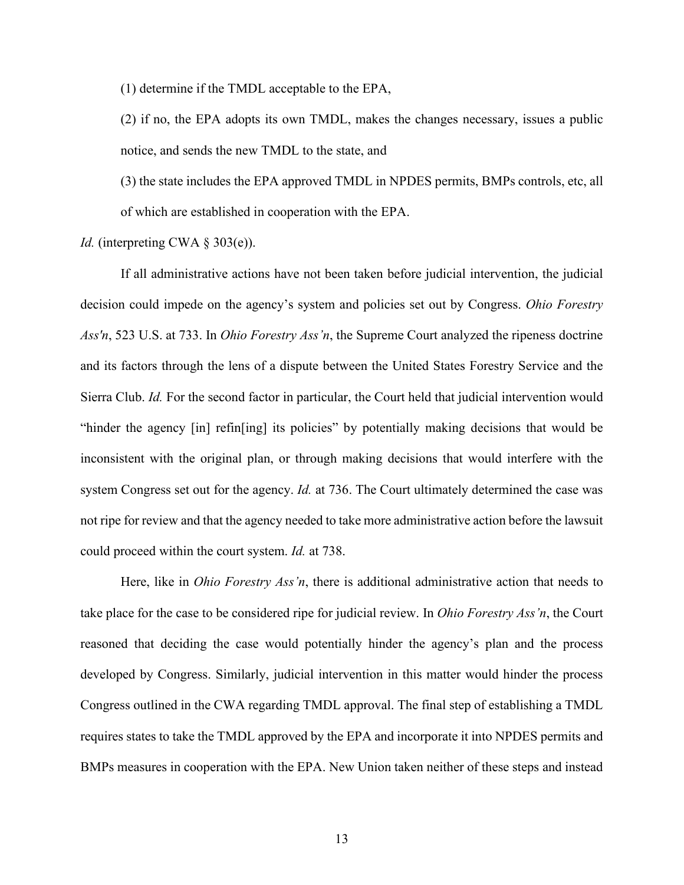(1) determine if the TMDL acceptable to the EPA,

(2) if no, the EPA adopts its own TMDL, makes the changes necessary, issues a public notice, and sends the new TMDL to the state, and

(3) the state includes the EPA approved TMDL in NPDES permits, BMPs controls, etc, all of which are established in cooperation with the EPA.

## *Id.* (interpreting CWA § 303(e)).

If all administrative actions have not been taken before judicial intervention, the judicial decision could impede on the agency's system and policies set out by Congress. *Ohio Forestry Ass'n*, 523 U.S. at 733. In *Ohio Forestry Ass'n*, the Supreme Court analyzed the ripeness doctrine and its factors through the lens of a dispute between the United States Forestry Service and the Sierra Club. *Id.* For the second factor in particular, the Court held that judicial intervention would "hinder the agency [in] refin[ing] its policies" by potentially making decisions that would be inconsistent with the original plan, or through making decisions that would interfere with the system Congress set out for the agency. *Id.* at 736. The Court ultimately determined the case was not ripe for review and that the agency needed to take more administrative action before the lawsuit could proceed within the court system. *Id.* at 738.

Here, like in *Ohio Forestry Ass'n*, there is additional administrative action that needs to take place for the case to be considered ripe for judicial review. In *Ohio Forestry Ass'n*, the Court reasoned that deciding the case would potentially hinder the agency's plan and the process developed by Congress. Similarly, judicial intervention in this matter would hinder the process Congress outlined in the CWA regarding TMDL approval. The final step of establishing a TMDL requires states to take the TMDL approved by the EPA and incorporate it into NPDES permits and BMPs measures in cooperation with the EPA. New Union taken neither of these steps and instead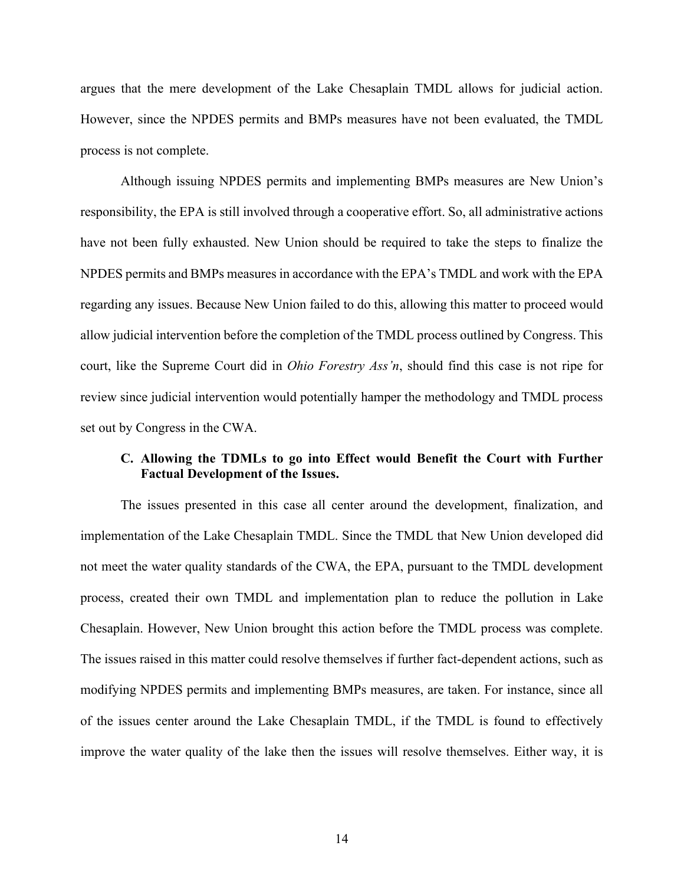argues that the mere development of the Lake Chesaplain TMDL allows for judicial action. However, since the NPDES permits and BMPs measures have not been evaluated, the TMDL process is not complete.

Although issuing NPDES permits and implementing BMPs measures are New Union's responsibility, the EPA is still involved through a cooperative effort. So, all administrative actions have not been fully exhausted. New Union should be required to take the steps to finalize the NPDES permits and BMPs measures in accordance with the EPA's TMDL and work with the EPA regarding any issues. Because New Union failed to do this, allowing this matter to proceed would allow judicial intervention before the completion of the TMDL process outlined by Congress. This court, like the Supreme Court did in *Ohio Forestry Ass'n*, should find this case is not ripe for review since judicial intervention would potentially hamper the methodology and TMDL process set out by Congress in the CWA.

# **C. Allowing the TDMLs to go into Effect would Benefit the Court with Further Factual Development of the Issues.**

The issues presented in this case all center around the development, finalization, and implementation of the Lake Chesaplain TMDL. Since the TMDL that New Union developed did not meet the water quality standards of the CWA, the EPA, pursuant to the TMDL development process, created their own TMDL and implementation plan to reduce the pollution in Lake Chesaplain. However, New Union brought this action before the TMDL process was complete. The issues raised in this matter could resolve themselves if further fact-dependent actions, such as modifying NPDES permits and implementing BMPs measures, are taken. For instance, since all of the issues center around the Lake Chesaplain TMDL, if the TMDL is found to effectively improve the water quality of the lake then the issues will resolve themselves. Either way, it is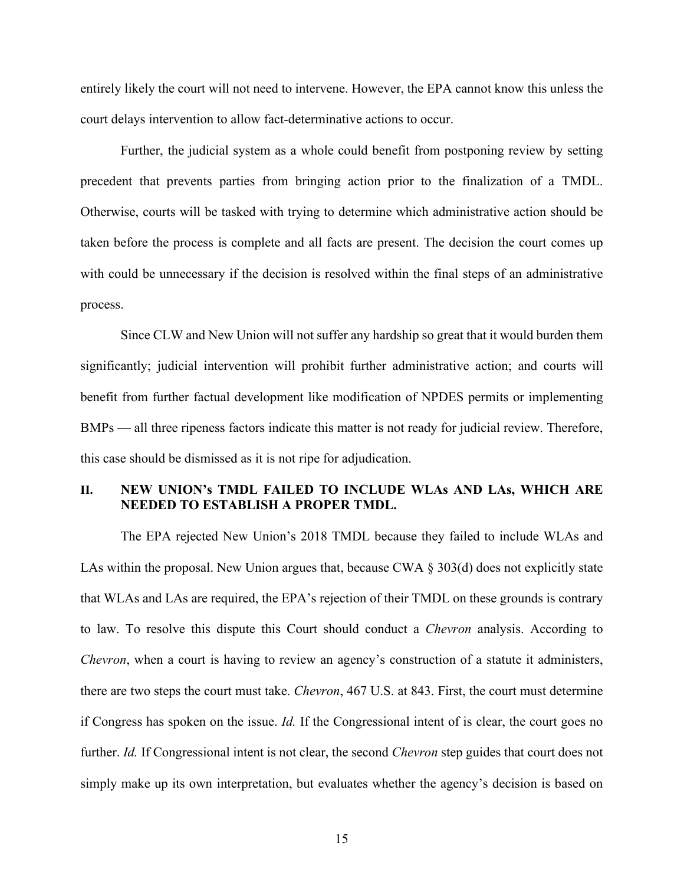entirely likely the court will not need to intervene. However, the EPA cannot know this unless the court delays intervention to allow fact-determinative actions to occur.

Further, the judicial system as a whole could benefit from postponing review by setting precedent that prevents parties from bringing action prior to the finalization of a TMDL. Otherwise, courts will be tasked with trying to determine which administrative action should be taken before the process is complete and all facts are present. The decision the court comes up with could be unnecessary if the decision is resolved within the final steps of an administrative process.

 Since CLW and New Union will not suffer any hardship so great that it would burden them significantly; judicial intervention will prohibit further administrative action; and courts will benefit from further factual development like modification of NPDES permits or implementing BMPs — all three ripeness factors indicate this matter is not ready for judicial review. Therefore, this case should be dismissed as it is not ripe for adjudication.

# **II. NEW UNION's TMDL FAILED TO INCLUDE WLAs AND LAs, WHICH ARE NEEDED TO ESTABLISH A PROPER TMDL.**

The EPA rejected New Union's 2018 TMDL because they failed to include WLAs and LAs within the proposal. New Union argues that, because CWA § 303(d) does not explicitly state that WLAs and LAs are required, the EPA's rejection of their TMDL on these grounds is contrary to law. To resolve this dispute this Court should conduct a *Chevron* analysis. According to *Chevron*, when a court is having to review an agency's construction of a statute it administers, there are two steps the court must take. *Chevron*, 467 U.S. at 843. First, the court must determine if Congress has spoken on the issue. *Id.* If the Congressional intent of is clear, the court goes no further. *Id.* If Congressional intent is not clear, the second *Chevron* step guides that court does not simply make up its own interpretation, but evaluates whether the agency's decision is based on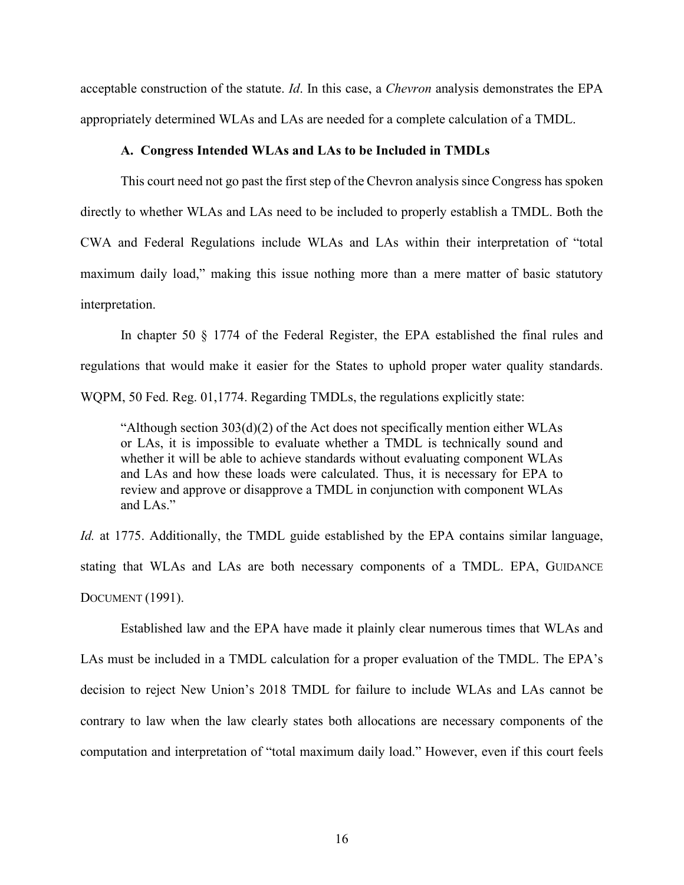acceptable construction of the statute. *Id*. In this case, a *Chevron* analysis demonstrates the EPA appropriately determined WLAs and LAs are needed for a complete calculation of a TMDL.

#### **A. Congress Intended WLAs and LAs to be Included in TMDLs**

This court need not go past the first step of the Chevron analysis since Congress has spoken directly to whether WLAs and LAs need to be included to properly establish a TMDL. Both the CWA and Federal Regulations include WLAs and LAs within their interpretation of "total maximum daily load," making this issue nothing more than a mere matter of basic statutory interpretation.

In chapter 50 § 1774 of the Federal Register, the EPA established the final rules and regulations that would make it easier for the States to uphold proper water quality standards. WQPM, 50 Fed. Reg. 01,1774. Regarding TMDLs, the regulations explicitly state:

"Although section  $303(d)(2)$  of the Act does not specifically mention either WLAs or LAs, it is impossible to evaluate whether a TMDL is technically sound and whether it will be able to achieve standards without evaluating component WLAs and LAs and how these loads were calculated. Thus, it is necessary for EPA to review and approve or disapprove a TMDL in conjunction with component WLAs and LAs."

*Id.* at 1775. Additionally, the TMDL guide established by the EPA contains similar language, stating that WLAs and LAs are both necessary components of a TMDL. EPA, GUIDANCE DOCUMENT (1991).

Established law and the EPA have made it plainly clear numerous times that WLAs and LAs must be included in a TMDL calculation for a proper evaluation of the TMDL. The EPA's decision to reject New Union's 2018 TMDL for failure to include WLAs and LAs cannot be contrary to law when the law clearly states both allocations are necessary components of the computation and interpretation of "total maximum daily load." However, even if this court feels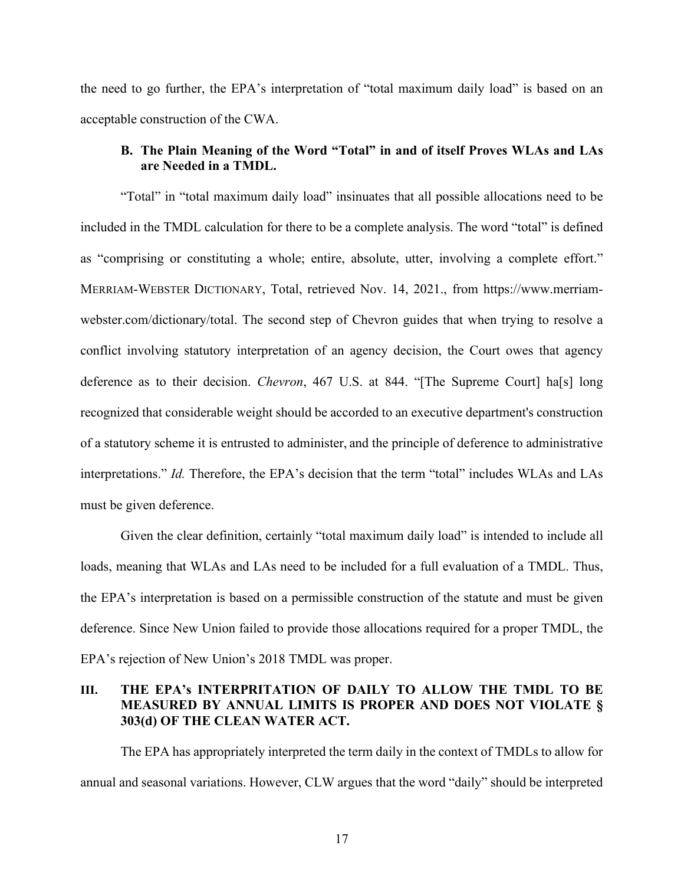the need to go further, the EPA's interpretation of "total maximum daily load" is based on an acceptable construction of the CWA.

# **B. The Plain Meaning of the Word "Total" in and of itself Proves WLAs and LAs are Needed in a TMDL.**

"Total" in "total maximum daily load" insinuates that all possible allocations need to be included in the TMDL calculation for there to be a complete analysis. The word "total" is defined as "comprising or constituting a whole; entire, absolute, utter, involving a complete effort." MERRIAM-WEBSTER DICTIONARY, Total, retrieved Nov. 14, 2021., from https://www.merriamwebster.com/dictionary/total. The second step of Chevron guides that when trying to resolve a conflict involving statutory interpretation of an agency decision, the Court owes that agency deference as to their decision. *Chevron*, 467 U.S. at 844. "[The Supreme Court] ha[s] long recognized that considerable weight should be accorded to an executive department's construction of a statutory scheme it is entrusted to administer, and the principle of deference to administrative interpretations." *Id.* Therefore, the EPA's decision that the term "total" includes WLAs and LAs must be given deference.

Given the clear definition, certainly "total maximum daily load" is intended to include all loads, meaning that WLAs and LAs need to be included for a full evaluation of a TMDL. Thus, the EPA's interpretation is based on a permissible construction of the statute and must be given deference. Since New Union failed to provide those allocations required for a proper TMDL, the EPA's rejection of New Union's 2018 TMDL was proper.

# **III. THE EPA's INTERPRITATION OF DAILY TO ALLOW THE TMDL TO BE MEASURED BY ANNUAL LIMITS IS PROPER AND DOES NOT VIOLATE § 303(d) OF THE CLEAN WATER ACT.**

The EPA has appropriately interpreted the term daily in the context of TMDLs to allow for annual and seasonal variations. However, CLW argues that the word "daily" should be interpreted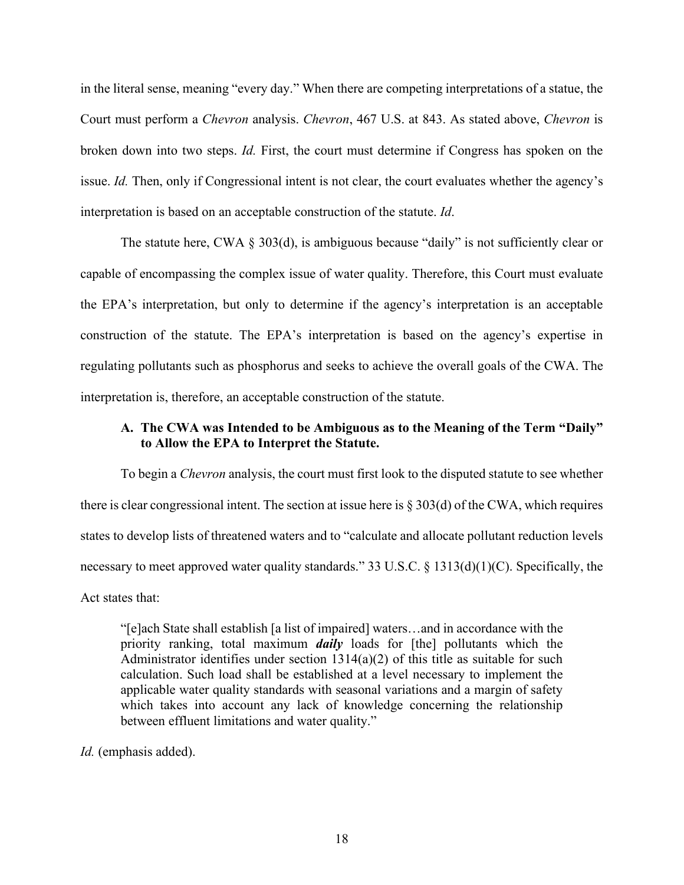in the literal sense, meaning "every day." When there are competing interpretations of a statue, the Court must perform a *Chevron* analysis. *Chevron*, 467 U.S. at 843. As stated above, *Chevron* is broken down into two steps. *Id.* First, the court must determine if Congress has spoken on the issue. *Id.* Then, only if Congressional intent is not clear, the court evaluates whether the agency's interpretation is based on an acceptable construction of the statute. *Id*.

The statute here, CWA § 303(d), is ambiguous because "daily" is not sufficiently clear or capable of encompassing the complex issue of water quality. Therefore, this Court must evaluate the EPA's interpretation, but only to determine if the agency's interpretation is an acceptable construction of the statute. The EPA's interpretation is based on the agency's expertise in regulating pollutants such as phosphorus and seeks to achieve the overall goals of the CWA. The interpretation is, therefore, an acceptable construction of the statute.

# **A. The CWA was Intended to be Ambiguous as to the Meaning of the Term "Daily" to Allow the EPA to Interpret the Statute.**

To begin a *Chevron* analysis, the court must first look to the disputed statute to see whether there is clear congressional intent. The section at issue here is § 303(d) of the CWA, which requires states to develop lists of threatened waters and to "calculate and allocate pollutant reduction levels necessary to meet approved water quality standards." 33 U.S.C. § 1313(d)(1)(C). Specifically, the Act states that:

"[e]ach State shall establish [a list of impaired] waters…and in accordance with the priority ranking, total maximum *daily* loads for [the] pollutants which the Administrator identifies under section  $1314(a)(2)$  of this title as suitable for such calculation. Such load shall be established at a level necessary to implement the applicable water quality standards with seasonal variations and a margin of safety which takes into account any lack of knowledge concerning the relationship between effluent limitations and water quality."

*Id.* (emphasis added).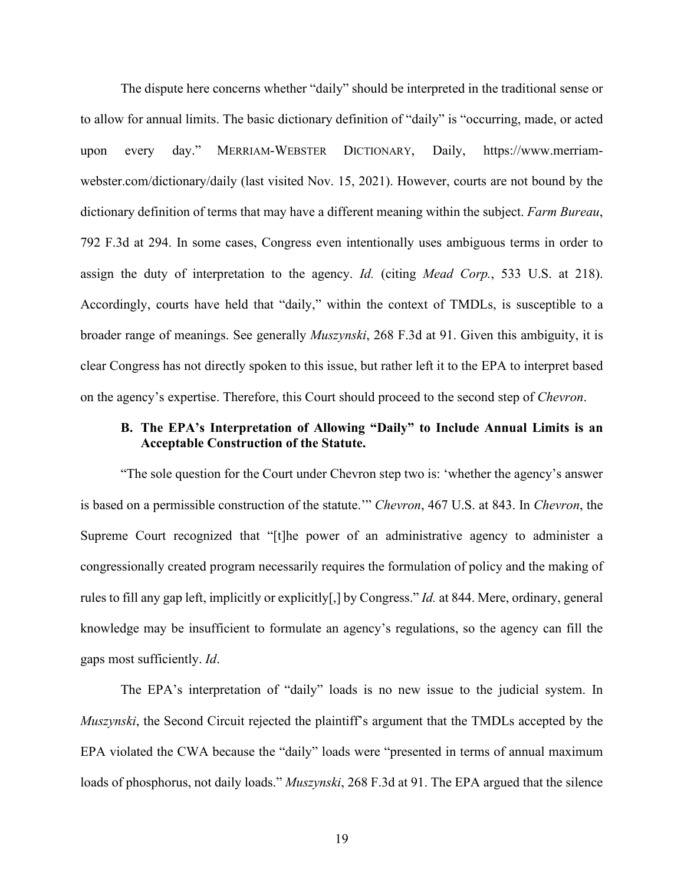The dispute here concerns whether "daily" should be interpreted in the traditional sense or to allow for annual limits. The basic dictionary definition of "daily" is "occurring, made, or acted upon every day." MERRIAM-WEBSTER DICTIONARY, Daily, https://www.merriamwebster.com/dictionary/daily (last visited Nov. 15, 2021). However, courts are not bound by the dictionary definition of terms that may have a different meaning within the subject. *Farm Bureau*, 792 F.3d at 294. In some cases, Congress even intentionally uses ambiguous terms in order to assign the duty of interpretation to the agency. *Id.* (citing *Mead Corp.*, 533 U.S. at 218). Accordingly, courts have held that "daily," within the context of TMDLs, is susceptible to a broader range of meanings. See generally *Muszynski*, 268 F.3d at 91. Given this ambiguity, it is clear Congress has not directly spoken to this issue, but rather left it to the EPA to interpret based on the agency's expertise. Therefore, this Court should proceed to the second step of *Chevron*.

## **B. The EPA's Interpretation of Allowing "Daily" to Include Annual Limits is an Acceptable Construction of the Statute.**

"The sole question for the Court under Chevron step two is: 'whether the agency's answer is based on a permissible construction of the statute.'" *Chevron*, 467 U.S. at 843. In *Chevron*, the Supreme Court recognized that "[t]he power of an administrative agency to administer a congressionally created program necessarily requires the formulation of policy and the making of rules to fill any gap left, implicitly or explicitly[,] by Congress." *Id.* at 844. Mere, ordinary, general knowledge may be insufficient to formulate an agency's regulations, so the agency can fill the gaps most sufficiently. *Id*.

The EPA's interpretation of "daily" loads is no new issue to the judicial system. In *Muszynski*, the Second Circuit rejected the plaintiff's argument that the TMDLs accepted by the EPA violated the CWA because the "daily" loads were "presented in terms of annual maximum loads of phosphorus, not daily loads." *Muszynski*, 268 F.3d at 91. The EPA argued that the silence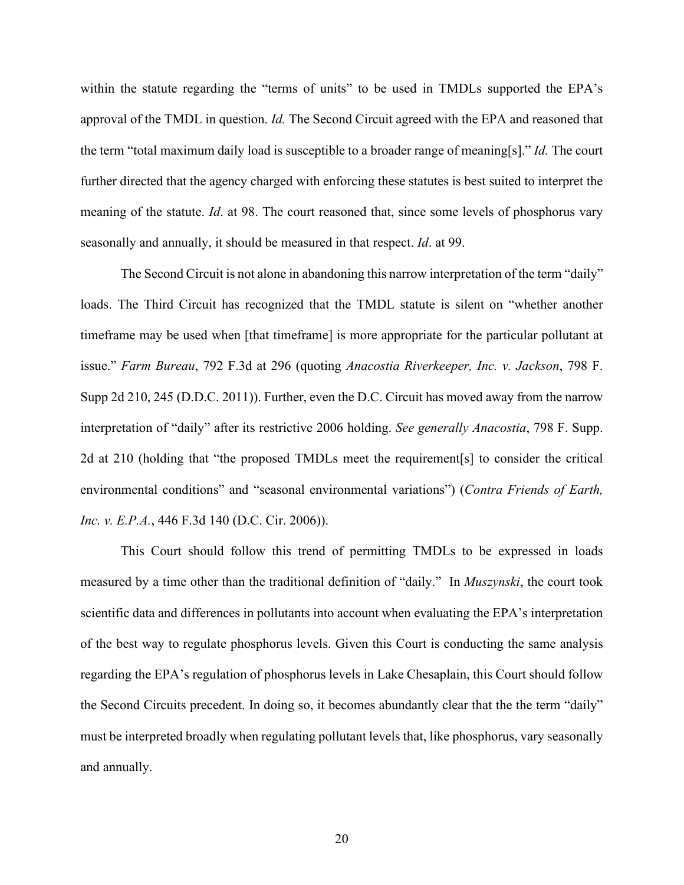within the statute regarding the "terms of units" to be used in TMDLs supported the EPA's approval of the TMDL in question. *Id.* The Second Circuit agreed with the EPA and reasoned that the term "total maximum daily load is susceptible to a broader range of meaning[s]." *Id.* The court further directed that the agency charged with enforcing these statutes is best suited to interpret the meaning of the statute. *Id*. at 98. The court reasoned that, since some levels of phosphorus vary seasonally and annually, it should be measured in that respect. *Id*. at 99.

The Second Circuit is not alone in abandoning this narrow interpretation of the term "daily" loads. The Third Circuit has recognized that the TMDL statute is silent on "whether another timeframe may be used when [that timeframe] is more appropriate for the particular pollutant at issue." *Farm Bureau*, 792 F.3d at 296 (quoting *Anacostia Riverkeeper, Inc. v. Jackson*, 798 F. Supp 2d 210, 245 (D.D.C. 2011)). Further, even the D.C. Circuit has moved away from the narrow interpretation of "daily" after its restrictive 2006 holding. *See generally Anacostia*, 798 F. Supp. 2d at 210 (holding that "the proposed TMDLs meet the requirement[s] to consider the critical environmental conditions" and "seasonal environmental variations") (*Contra Friends of Earth, Inc. v. E.P.A.*, 446 F.3d 140 (D.C. Cir. 2006)).

This Court should follow this trend of permitting TMDLs to be expressed in loads measured by a time other than the traditional definition of "daily." In *Muszynski*, the court took scientific data and differences in pollutants into account when evaluating the EPA's interpretation of the best way to regulate phosphorus levels. Given this Court is conducting the same analysis regarding the EPA's regulation of phosphorus levels in Lake Chesaplain, this Court should follow the Second Circuits precedent. In doing so, it becomes abundantly clear that the the term "daily" must be interpreted broadly when regulating pollutant levels that, like phosphorus, vary seasonally and annually.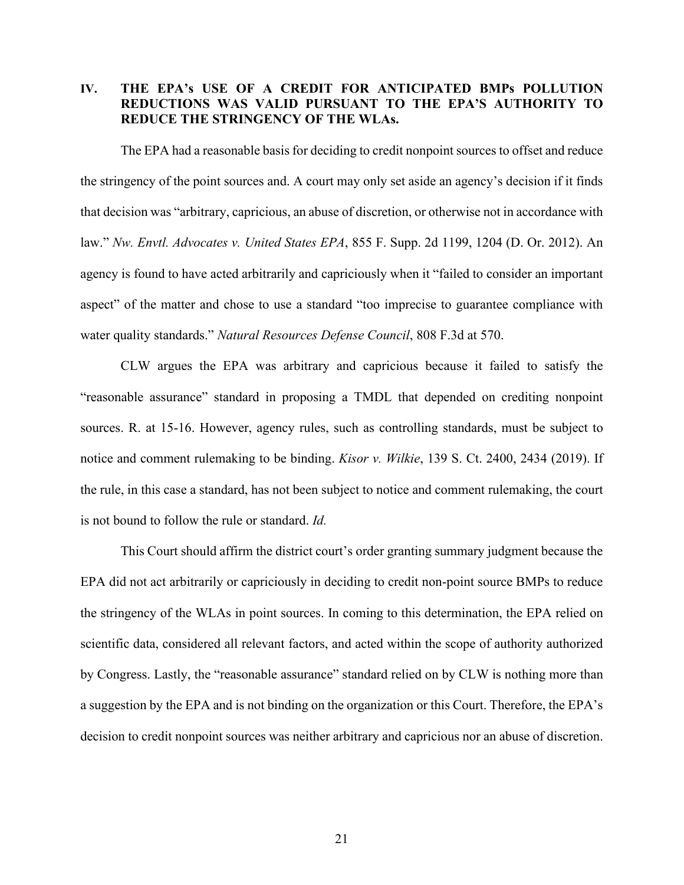# **IV. THE EPA's USE OF A CREDIT FOR ANTICIPATED BMPs POLLUTION REDUCTIONS WAS VALID PURSUANT TO THE EPA'S AUTHORITY TO REDUCE THE STRINGENCY OF THE WLAs.**

The EPA had a reasonable basis for deciding to credit nonpoint sources to offset and reduce the stringency of the point sources and. A court may only set aside an agency's decision if it finds that decision was "arbitrary, capricious, an abuse of discretion, or otherwise not in accordance with law." *Nw. Envtl. Advocates v. United States EPA*, 855 F. Supp. 2d 1199, 1204 (D. Or. 2012). An agency is found to have acted arbitrarily and capriciously when it "failed to consider an important aspect" of the matter and chose to use a standard "too imprecise to guarantee compliance with water quality standards." *Natural Resources Defense Council*, 808 F.3d at 570.

CLW argues the EPA was arbitrary and capricious because it failed to satisfy the "reasonable assurance" standard in proposing a TMDL that depended on crediting nonpoint sources. R. at 15-16. However, agency rules, such as controlling standards, must be subject to notice and comment rulemaking to be binding. *Kisor v. Wilkie*, 139 S. Ct. 2400, 2434 (2019). If the rule, in this case a standard, has not been subject to notice and comment rulemaking, the court is not bound to follow the rule or standard. *Id.* 

This Court should affirm the district court's order granting summary judgment because the EPA did not act arbitrarily or capriciously in deciding to credit non-point source BMPs to reduce the stringency of the WLAs in point sources. In coming to this determination, the EPA relied on scientific data, considered all relevant factors, and acted within the scope of authority authorized by Congress. Lastly, the "reasonable assurance" standard relied on by CLW is nothing more than a suggestion by the EPA and is not binding on the organization or this Court. Therefore, the EPA's decision to credit nonpoint sources was neither arbitrary and capricious nor an abuse of discretion.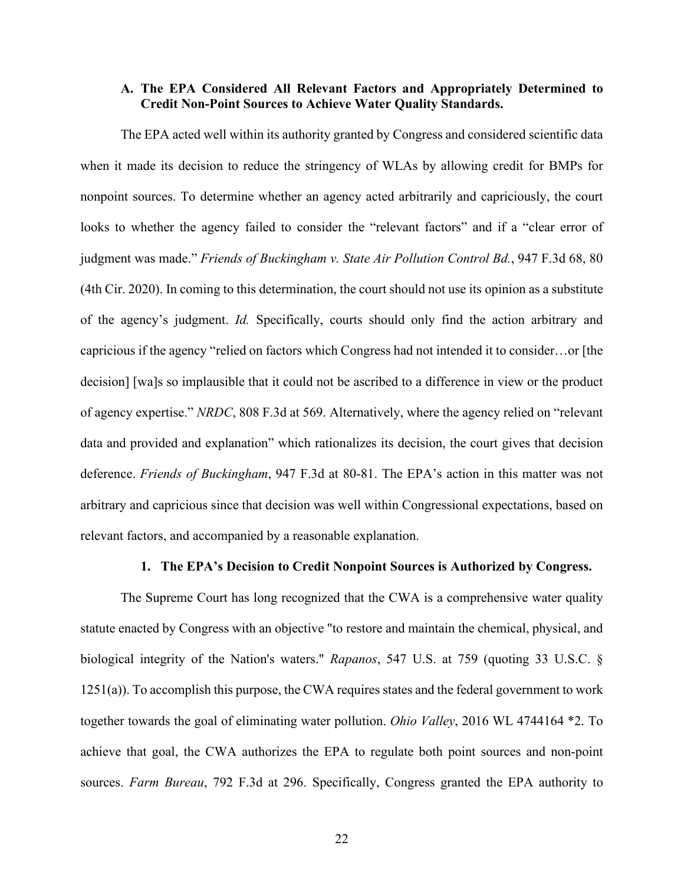# **A. The EPA Considered All Relevant Factors and Appropriately Determined to Credit Non-Point Sources to Achieve Water Quality Standards.**

The EPA acted well within its authority granted by Congress and considered scientific data when it made its decision to reduce the stringency of WLAs by allowing credit for BMPs for nonpoint sources. To determine whether an agency acted arbitrarily and capriciously, the court looks to whether the agency failed to consider the "relevant factors" and if a "clear error of judgment was made." *Friends of Buckingham v. State Air Pollution Control Bd.*, 947 F.3d 68, 80 (4th Cir. 2020). In coming to this determination, the court should not use its opinion as a substitute of the agency's judgment. *Id.* Specifically, courts should only find the action arbitrary and capricious if the agency "relied on factors which Congress had not intended it to consider…or [the decision] [wa]s so implausible that it could not be ascribed to a difference in view or the product of agency expertise." *NRDC*, 808 F.3d at 569. Alternatively, where the agency relied on "relevant data and provided and explanation" which rationalizes its decision, the court gives that decision deference. *Friends of Buckingham*, 947 F.3d at 80-81. The EPA's action in this matter was not arbitrary and capricious since that decision was well within Congressional expectations, based on relevant factors, and accompanied by a reasonable explanation.

#### **1. The EPA's Decision to Credit Nonpoint Sources is Authorized by Congress.**

The Supreme Court has long recognized that the CWA is a comprehensive water quality statute enacted by Congress with an objective "to restore and maintain the chemical, physical, and biological integrity of the Nation's waters." *Rapanos*, 547 U.S. at 759 (quoting 33 U.S.C. § 1251(a)). To accomplish this purpose, the CWA requires states and the federal government to work together towards the goal of eliminating water pollution. *Ohio Valley*, 2016 WL 4744164 \*2. To achieve that goal, the CWA authorizes the EPA to regulate both point sources and non-point sources. *Farm Bureau*, 792 F.3d at 296. Specifically, Congress granted the EPA authority to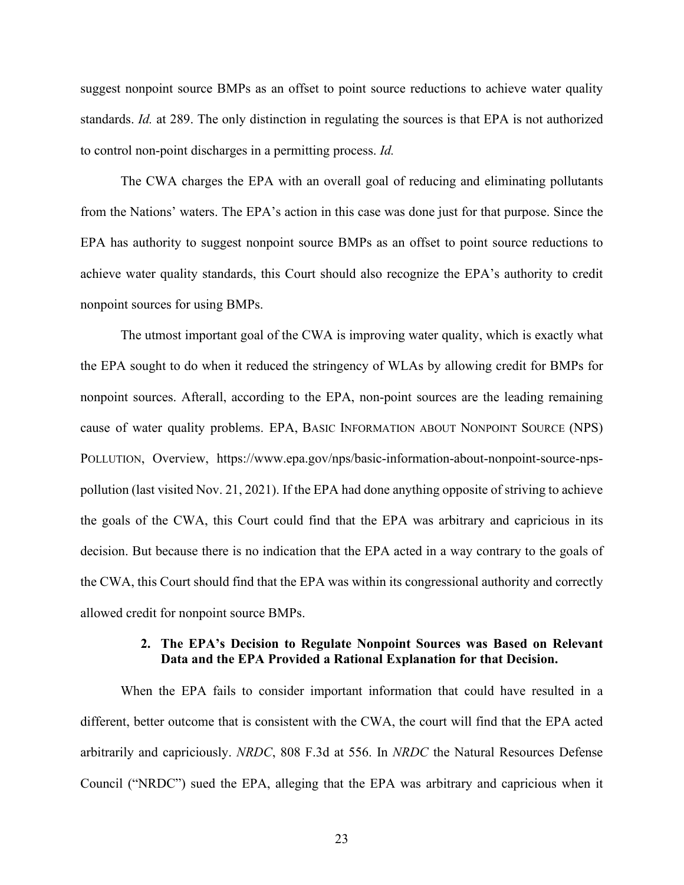suggest nonpoint source BMPs as an offset to point source reductions to achieve water quality standards. *Id.* at 289. The only distinction in regulating the sources is that EPA is not authorized to control non-point discharges in a permitting process. *Id.*

The CWA charges the EPA with an overall goal of reducing and eliminating pollutants from the Nations' waters. The EPA's action in this case was done just for that purpose. Since the EPA has authority to suggest nonpoint source BMPs as an offset to point source reductions to achieve water quality standards, this Court should also recognize the EPA's authority to credit nonpoint sources for using BMPs.

The utmost important goal of the CWA is improving water quality, which is exactly what the EPA sought to do when it reduced the stringency of WLAs by allowing credit for BMPs for nonpoint sources. Afterall, according to the EPA, non-point sources are the leading remaining cause of water quality problems. EPA, BASIC INFORMATION ABOUT NONPOINT SOURCE (NPS) POLLUTION, Overview, https://www.epa.gov/nps/basic-information-about-nonpoint-source-npspollution (last visited Nov. 21, 2021). If the EPA had done anything opposite of striving to achieve the goals of the CWA, this Court could find that the EPA was arbitrary and capricious in its decision. But because there is no indication that the EPA acted in a way contrary to the goals of the CWA, this Court should find that the EPA was within its congressional authority and correctly allowed credit for nonpoint source BMPs.

# **2. The EPA's Decision to Regulate Nonpoint Sources was Based on Relevant Data and the EPA Provided a Rational Explanation for that Decision.**

When the EPA fails to consider important information that could have resulted in a different, better outcome that is consistent with the CWA, the court will find that the EPA acted arbitrarily and capriciously. *NRDC*, 808 F.3d at 556. In *NRDC* the Natural Resources Defense Council ("NRDC") sued the EPA, alleging that the EPA was arbitrary and capricious when it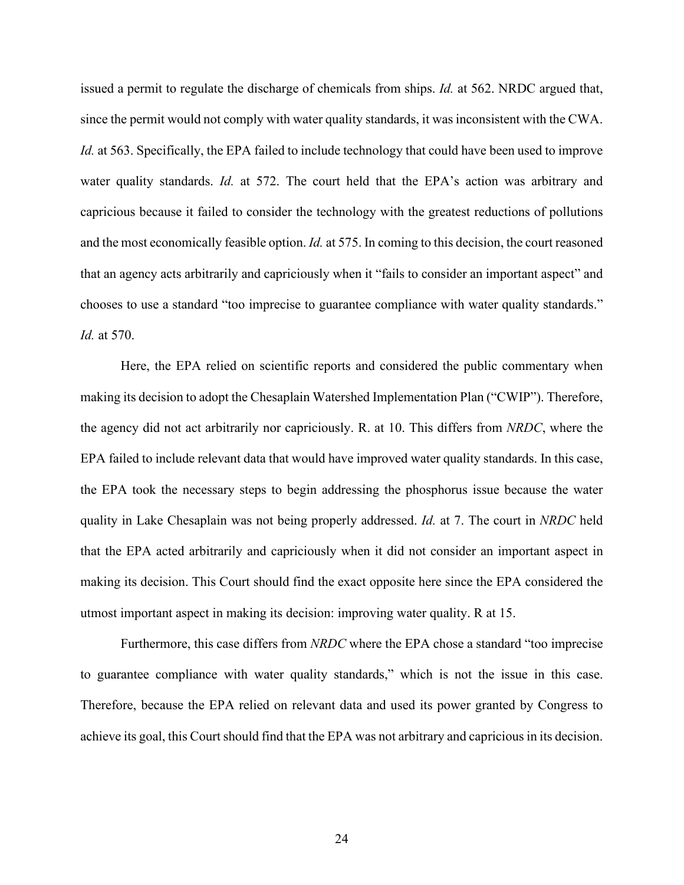issued a permit to regulate the discharge of chemicals from ships. *Id.* at 562. NRDC argued that, since the permit would not comply with water quality standards, it was inconsistent with the CWA. *Id.* at 563. Specifically, the EPA failed to include technology that could have been used to improve water quality standards. *Id.* at 572. The court held that the EPA's action was arbitrary and capricious because it failed to consider the technology with the greatest reductions of pollutions and the most economically feasible option. *Id.* at 575. In coming to this decision, the court reasoned that an agency acts arbitrarily and capriciously when it "fails to consider an important aspect" and chooses to use a standard "too imprecise to guarantee compliance with water quality standards." *Id.* at 570.

Here, the EPA relied on scientific reports and considered the public commentary when making its decision to adopt the Chesaplain Watershed Implementation Plan ("CWIP"). Therefore, the agency did not act arbitrarily nor capriciously. R. at 10. This differs from *NRDC*, where the EPA failed to include relevant data that would have improved water quality standards. In this case, the EPA took the necessary steps to begin addressing the phosphorus issue because the water quality in Lake Chesaplain was not being properly addressed. *Id.* at 7. The court in *NRDC* held that the EPA acted arbitrarily and capriciously when it did not consider an important aspect in making its decision. This Court should find the exact opposite here since the EPA considered the utmost important aspect in making its decision: improving water quality. R at 15.

Furthermore, this case differs from *NRDC* where the EPA chose a standard "too imprecise to guarantee compliance with water quality standards," which is not the issue in this case. Therefore, because the EPA relied on relevant data and used its power granted by Congress to achieve its goal, this Court should find that the EPA was not arbitrary and capricious in its decision.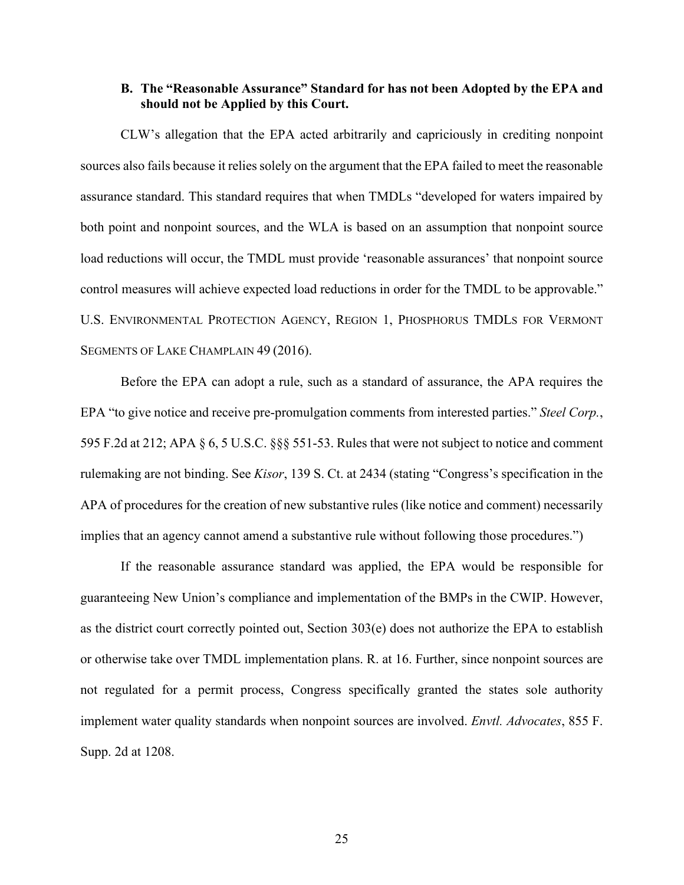## **B. The "Reasonable Assurance" Standard for has not been Adopted by the EPA and should not be Applied by this Court.**

CLW's allegation that the EPA acted arbitrarily and capriciously in crediting nonpoint sources also fails because it relies solely on the argument that the EPA failed to meet the reasonable assurance standard. This standard requires that when TMDLs "developed for waters impaired by both point and nonpoint sources, and the WLA is based on an assumption that nonpoint source load reductions will occur, the TMDL must provide 'reasonable assurances' that nonpoint source control measures will achieve expected load reductions in order for the TMDL to be approvable." U.S. ENVIRONMENTAL PROTECTION AGENCY, REGION 1, PHOSPHORUS TMDLS FOR VERMONT SEGMENTS OF LAKE CHAMPLAIN 49 (2016).

Before the EPA can adopt a rule, such as a standard of assurance, the APA requires the EPA "to give notice and receive pre-promulgation comments from interested parties." *Steel Corp.*, 595 F.2d at 212; APA § 6, 5 U.S.C. §§§ 551-53. Rules that were not subject to notice and comment rulemaking are not binding. See *Kisor*, 139 S. Ct. at 2434 (stating "Congress's specification in the APA of procedures for the creation of new substantive rules (like notice and comment) necessarily implies that an agency cannot amend a substantive rule without following those procedures.")

If the reasonable assurance standard was applied, the EPA would be responsible for guaranteeing New Union's compliance and implementation of the BMPs in the CWIP. However, as the district court correctly pointed out, Section 303(e) does not authorize the EPA to establish or otherwise take over TMDL implementation plans. R. at 16. Further, since nonpoint sources are not regulated for a permit process, Congress specifically granted the states sole authority implement water quality standards when nonpoint sources are involved. *Envtl. Advocates*, 855 F. Supp. 2d at 1208.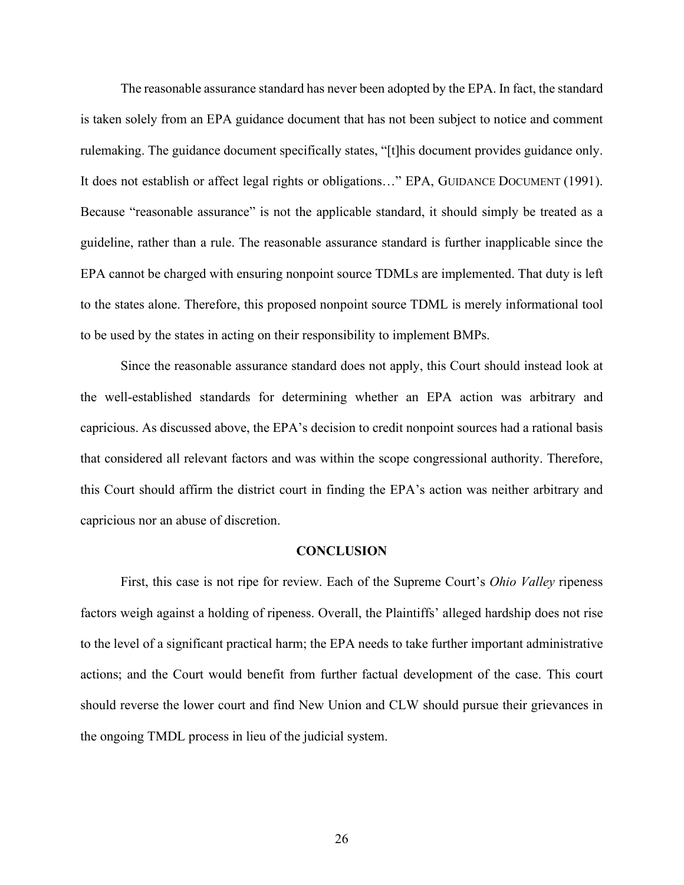The reasonable assurance standard has never been adopted by the EPA. In fact, the standard is taken solely from an EPA guidance document that has not been subject to notice and comment rulemaking. The guidance document specifically states, "[t]his document provides guidance only. It does not establish or affect legal rights or obligations…" EPA, GUIDANCE DOCUMENT (1991). Because "reasonable assurance" is not the applicable standard, it should simply be treated as a guideline, rather than a rule. The reasonable assurance standard is further inapplicable since the EPA cannot be charged with ensuring nonpoint source TDMLs are implemented. That duty is left to the states alone. Therefore, this proposed nonpoint source TDML is merely informational tool to be used by the states in acting on their responsibility to implement BMPs.

Since the reasonable assurance standard does not apply, this Court should instead look at the well-established standards for determining whether an EPA action was arbitrary and capricious. As discussed above, the EPA's decision to credit nonpoint sources had a rational basis that considered all relevant factors and was within the scope congressional authority. Therefore, this Court should affirm the district court in finding the EPA's action was neither arbitrary and capricious nor an abuse of discretion.

#### **CONCLUSION**

First, this case is not ripe for review. Each of the Supreme Court's *Ohio Valley* ripeness factors weigh against a holding of ripeness. Overall, the Plaintiffs' alleged hardship does not rise to the level of a significant practical harm; the EPA needs to take further important administrative actions; and the Court would benefit from further factual development of the case. This court should reverse the lower court and find New Union and CLW should pursue their grievances in the ongoing TMDL process in lieu of the judicial system.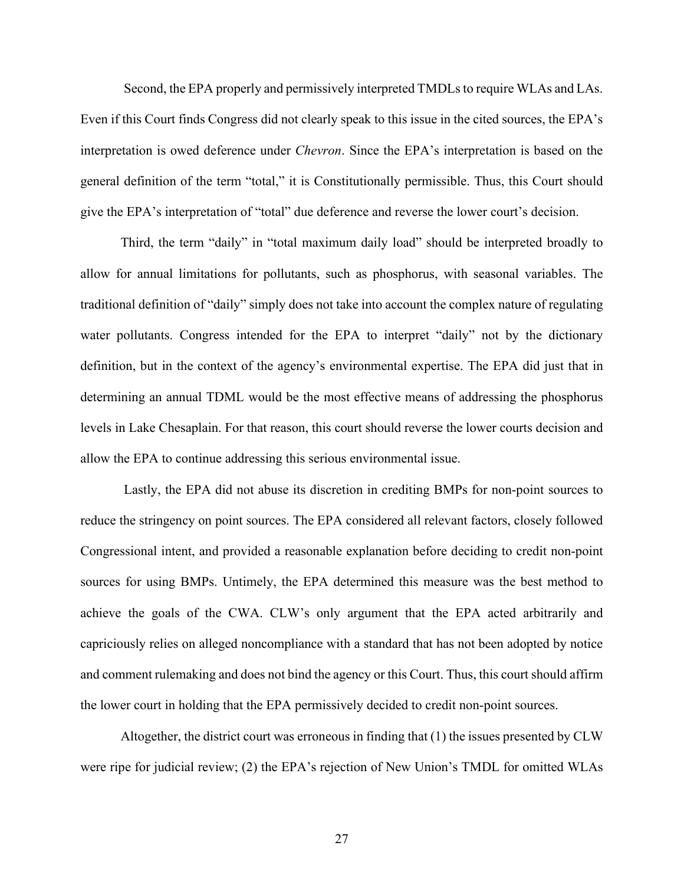Second, the EPA properly and permissively interpreted TMDLs to require WLAs and LAs. Even if this Court finds Congress did not clearly speak to this issue in the cited sources, the EPA's interpretation is owed deference under *Chevron*. Since the EPA's interpretation is based on the general definition of the term "total," it is Constitutionally permissible. Thus, this Court should give the EPA's interpretation of "total" due deference and reverse the lower court's decision.

Third, the term "daily" in "total maximum daily load" should be interpreted broadly to allow for annual limitations for pollutants, such as phosphorus, with seasonal variables. The traditional definition of "daily" simply does not take into account the complex nature of regulating water pollutants. Congress intended for the EPA to interpret "daily" not by the dictionary definition, but in the context of the agency's environmental expertise. The EPA did just that in determining an annual TDML would be the most effective means of addressing the phosphorus levels in Lake Chesaplain. For that reason, this court should reverse the lower courts decision and allow the EPA to continue addressing this serious environmental issue.

Lastly, the EPA did not abuse its discretion in crediting BMPs for non-point sources to reduce the stringency on point sources. The EPA considered all relevant factors, closely followed Congressional intent, and provided a reasonable explanation before deciding to credit non-point sources for using BMPs. Untimely, the EPA determined this measure was the best method to achieve the goals of the CWA. CLW's only argument that the EPA acted arbitrarily and capriciously relies on alleged noncompliance with a standard that has not been adopted by notice and comment rulemaking and does not bind the agency or this Court. Thus, this court should affirm the lower court in holding that the EPA permissively decided to credit non-point sources.

Altogether, the district court was erroneous in finding that (1) the issues presented by CLW were ripe for judicial review; (2) the EPA's rejection of New Union's TMDL for omitted WLAs